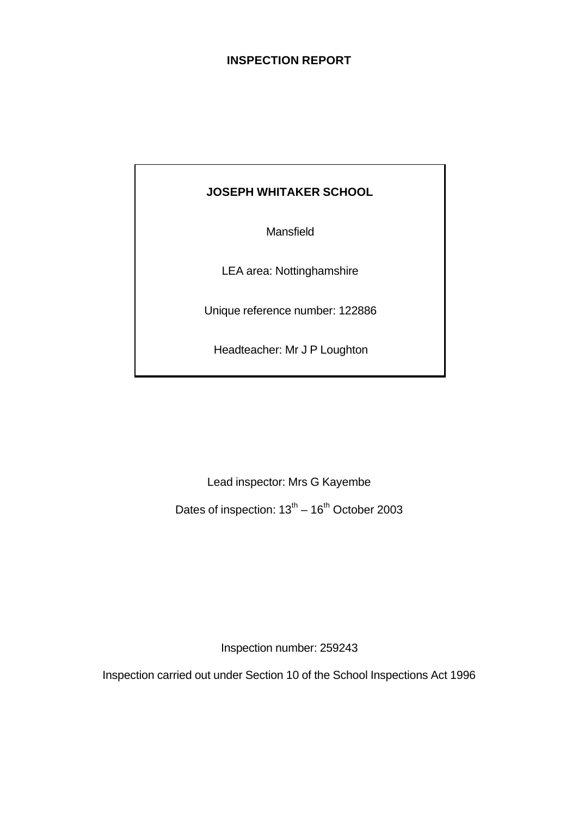### **INSPECTION REPORT**

## **JOSEPH WHITAKER SCHOOL**

Mansfield

LEA area: Nottinghamshire

Unique reference number: 122886

Headteacher: Mr J P Loughton

Lead inspector: Mrs G Kayembe

Dates of inspection:  $13^{th} - 16^{th}$  October 2003

Inspection number: 259243

Inspection carried out under Section 10 of the School Inspections Act 1996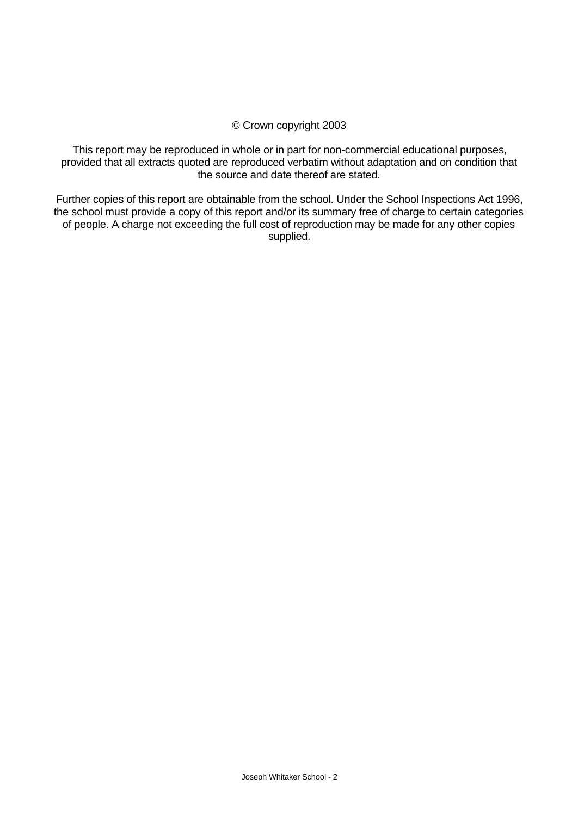#### © Crown copyright 2003

This report may be reproduced in whole or in part for non-commercial educational purposes, provided that all extracts quoted are reproduced verbatim without adaptation and on condition that the source and date thereof are stated.

Further copies of this report are obtainable from the school. Under the School Inspections Act 1996, the school must provide a copy of this report and/or its summary free of charge to certain categories of people. A charge not exceeding the full cost of reproduction may be made for any other copies supplied.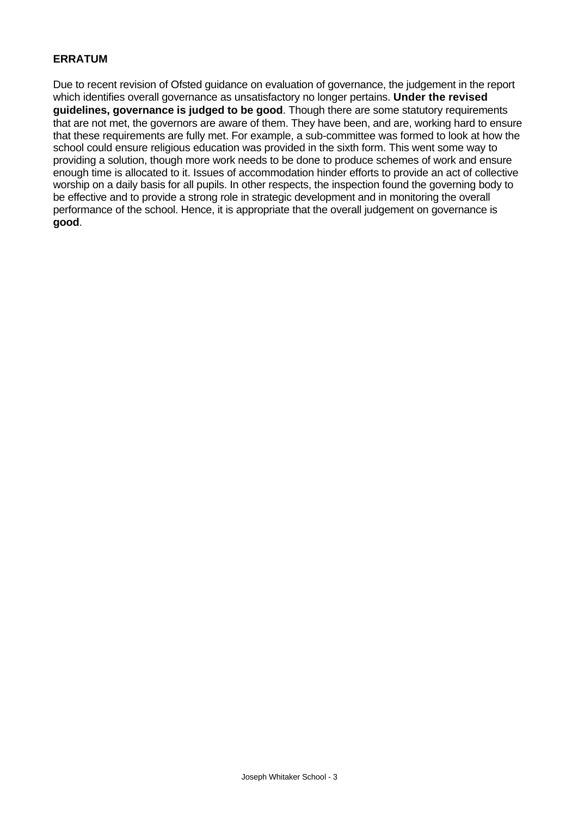#### **ERRATUM**

Due to recent revision of Ofsted guidance on evaluation of governance, the judgement in the report which identifies overall governance as unsatisfactory no longer pertains. **Under the revised guidelines, governance is judged to be good**. Though there are some statutory requirements that are not met, the governors are aware of them. They have been, and are, working hard to ensure that these requirements are fully met. For example, a sub-committee was formed to look at how the school could ensure religious education was provided in the sixth form. This went some way to providing a solution, though more work needs to be done to produce schemes of work and ensure enough time is allocated to it. Issues of accommodation hinder efforts to provide an act of collective worship on a daily basis for all pupils. In other respects, the inspection found the governing body to be effective and to provide a strong role in strategic development and in monitoring the overall performance of the school. Hence, it is appropriate that the overall judgement on governance is **good**.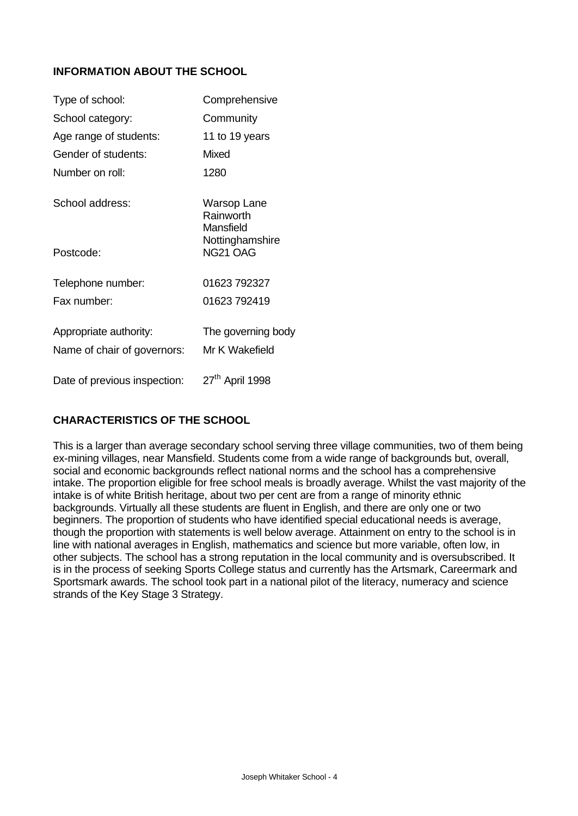### **INFORMATION ABOUT THE SCHOOL**

| Type of school:              | Comprehensive                         |
|------------------------------|---------------------------------------|
| School category:             | Community                             |
| Age range of students:       | 11 to 19 years                        |
| Gender of students:          | Mixed                                 |
| Number on roll <sup>.</sup>  | 1280                                  |
| School address:              | Warsop Lane<br>Rainworth<br>Mansfield |
| Postcode:                    | Nottinghamshire<br>NG21 OAG           |
| Telephone number:            | 01623 792327                          |
| Fax number:                  | 01623 792419                          |
| Appropriate authority:       | The governing body                    |
| Name of chair of governors:  | Mr K Wakefield                        |
| Date of previous inspection: | 27 <sup>th</sup> April 1998           |

### **CHARACTERISTICS OF THE SCHOOL**

This is a larger than average secondary school serving three village communities, two of them being ex-mining villages, near Mansfield. Students come from a wide range of backgrounds but, overall, social and economic backgrounds reflect national norms and the school has a comprehensive intake. The proportion eligible for free school meals is broadly average. Whilst the vast majority of the intake is of white British heritage, about two per cent are from a range of minority ethnic backgrounds. Virtually all these students are fluent in English, and there are only one or two beginners. The proportion of students who have identified special educational needs is average, though the proportion with statements is well below average. Attainment on entry to the school is in line with national averages in English, mathematics and science but more variable, often low, in other subjects. The school has a strong reputation in the local community and is oversubscribed. It is in the process of seeking Sports College status and currently has the Artsmark, Careermark and Sportsmark awards. The school took part in a national pilot of the literacy, numeracy and science strands of the Key Stage 3 Strategy.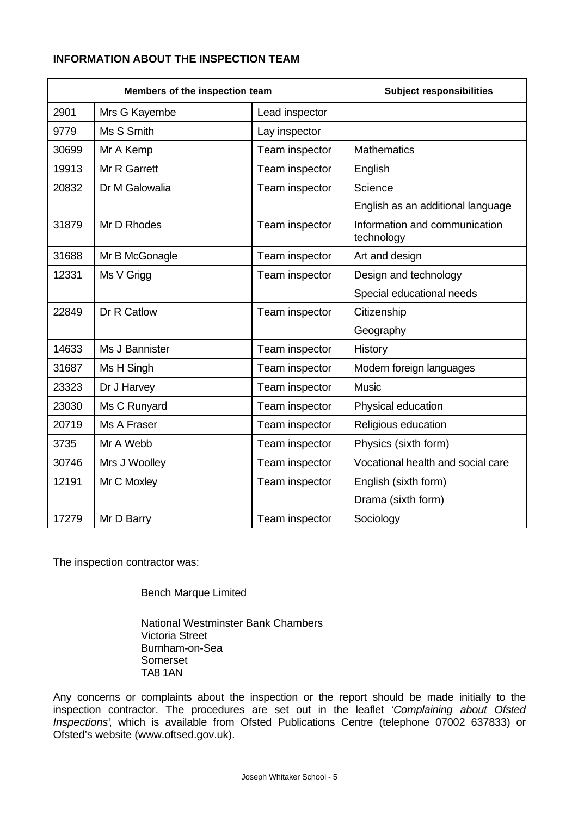### **INFORMATION ABOUT THE INSPECTION TEAM**

| Members of the inspection team |                | <b>Subject responsibilities</b> |                                             |
|--------------------------------|----------------|---------------------------------|---------------------------------------------|
| 2901                           | Mrs G Kayembe  | Lead inspector                  |                                             |
| 9779                           | Ms S Smith     | Lay inspector                   |                                             |
| 30699                          | Mr A Kemp      | Team inspector                  | <b>Mathematics</b>                          |
| 19913                          | Mr R Garrett   | Team inspector                  | English                                     |
| 20832                          | Dr M Galowalia | Team inspector                  | Science                                     |
|                                |                |                                 | English as an additional language           |
| 31879                          | Mr D Rhodes    | Team inspector                  | Information and communication<br>technology |
| 31688                          | Mr B McGonagle | Team inspector                  | Art and design                              |
| 12331                          | Ms V Grigg     | Team inspector                  | Design and technology                       |
|                                |                |                                 | Special educational needs                   |
| 22849                          | Dr R Catlow    | Team inspector                  | Citizenship                                 |
|                                |                |                                 | Geography                                   |
| 14633                          | Ms J Bannister | Team inspector                  | History                                     |
| 31687                          | Ms H Singh     | Team inspector                  | Modern foreign languages                    |
| 23323                          | Dr J Harvey    | Team inspector                  | <b>Music</b>                                |
| 23030                          | Ms C Runyard   | Team inspector                  | Physical education                          |
| 20719                          | Ms A Fraser    | Team inspector                  | Religious education                         |
| 3735                           | Mr A Webb      | Team inspector                  | Physics (sixth form)                        |
| 30746                          | Mrs J Woolley  | Team inspector                  | Vocational health and social care           |
| 12191                          | Mr C Moxley    | Team inspector                  | English (sixth form)                        |
|                                |                |                                 | Drama (sixth form)                          |
| 17279                          | Mr D Barry     | Team inspector                  | Sociology                                   |

The inspection contractor was:

Bench Marque Limited

National Westminster Bank Chambers Victoria Street Burnham-on-Sea Somerset TA8 1AN

Any concerns or complaints about the inspection or the report should be made initially to the inspection contractor. The procedures are set out in the leaflet *'Complaining about Ofsted Inspections'*, which is available from Ofsted Publications Centre (telephone 07002 637833) or Ofsted's website (www.oftsed.gov.uk).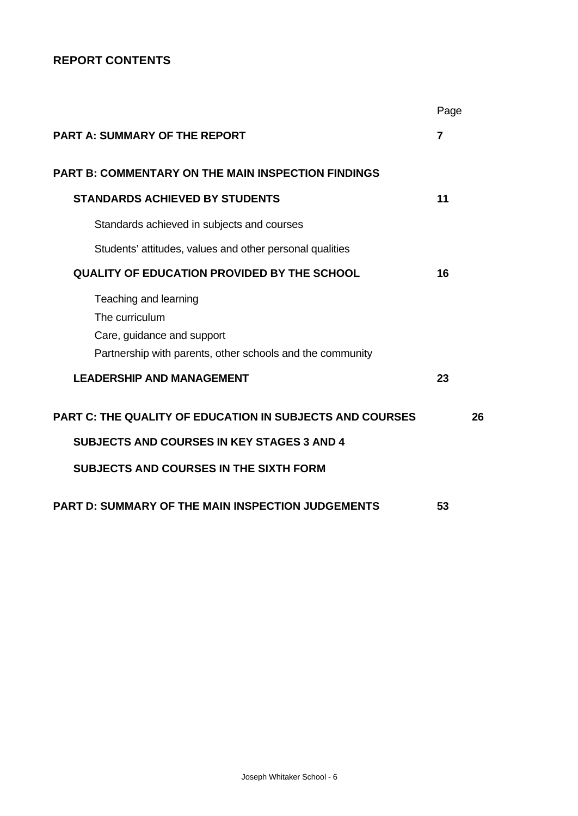## **REPORT CONTENTS**

|                                                                                                                                    | Page |    |
|------------------------------------------------------------------------------------------------------------------------------------|------|----|
| <b>PART A: SUMMARY OF THE REPORT</b>                                                                                               | 7    |    |
| <b>PART B: COMMENTARY ON THE MAIN INSPECTION FINDINGS</b>                                                                          |      |    |
| <b>STANDARDS ACHIEVED BY STUDENTS</b>                                                                                              | 11   |    |
| Standards achieved in subjects and courses                                                                                         |      |    |
| Students' attitudes, values and other personal qualities                                                                           |      |    |
| <b>QUALITY OF EDUCATION PROVIDED BY THE SCHOOL</b>                                                                                 | 16   |    |
| Teaching and learning<br>The curriculum<br>Care, guidance and support<br>Partnership with parents, other schools and the community |      |    |
| <b>LEADERSHIP AND MANAGEMENT</b>                                                                                                   | 23   |    |
| <b>PART C: THE QUALITY OF EDUCATION IN SUBJECTS AND COURSES</b>                                                                    |      | 26 |
| <b>SUBJECTS AND COURSES IN KEY STAGES 3 AND 4</b>                                                                                  |      |    |
| <b>SUBJECTS AND COURSES IN THE SIXTH FORM</b>                                                                                      |      |    |
| <b>PART D: SUMMARY OF THE MAIN INSPECTION JUDGEMENTS</b>                                                                           | 53   |    |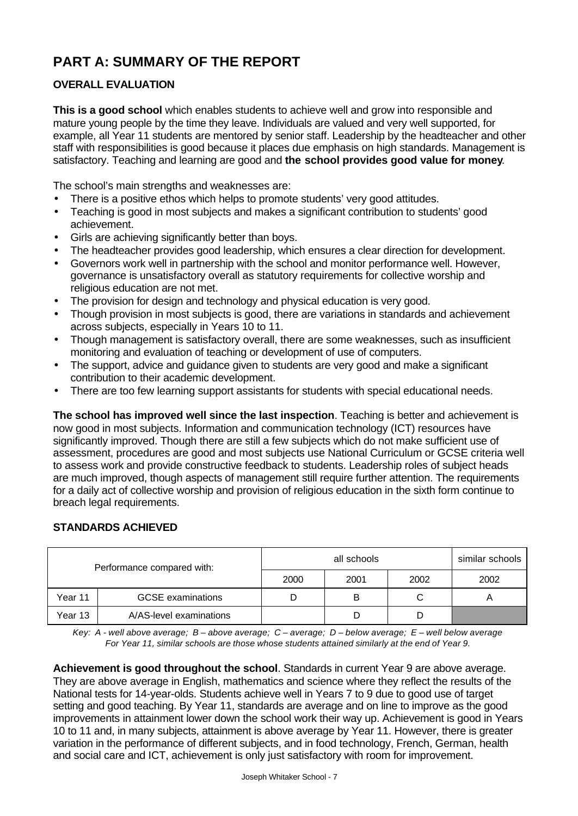# **PART A: SUMMARY OF THE REPORT**

## **OVERALL EVALUATION**

**This is a good school** which enables students to achieve well and grow into responsible and mature young people by the time they leave. Individuals are valued and very well supported, for example, all Year 11 students are mentored by senior staff. Leadership by the headteacher and other staff with responsibilities is good because it places due emphasis on high standards. Management is satisfactory. Teaching and learning are good and **the school provides good value for money**.

The school's main strengths and weaknesses are:

- There is a positive ethos which helps to promote students' very good attitudes.
- Teaching is good in most subjects and makes a significant contribution to students' good achievement.
- Girls are achieving significantly better than boys.
- The headteacher provides good leadership, which ensures a clear direction for development.
- Governors work well in partnership with the school and monitor performance well. However, governance is unsatisfactory overall as statutory requirements for collective worship and religious education are not met.
- The provision for design and technology and physical education is very good.
- Though provision in most subjects is good, there are variations in standards and achievement across subjects, especially in Years 10 to 11.
- Though management is satisfactory overall, there are some weaknesses, such as insufficient monitoring and evaluation of teaching or development of use of computers.
- The support, advice and guidance given to students are very good and make a significant contribution to their academic development.
- There are too few learning support assistants for students with special educational needs.

**The school has improved well since the last inspection**. Teaching is better and achievement is now good in most subjects. Information and communication technology (ICT) resources have significantly improved. Though there are still a few subjects which do not make sufficient use of assessment, procedures are good and most subjects use National Curriculum or GCSE criteria well to assess work and provide constructive feedback to students. Leadership roles of subject heads are much improved, though aspects of management still require further attention. The requirements for a daily act of collective worship and provision of religious education in the sixth form continue to breach legal requirements.

### **STANDARDS ACHIEVED**

| Performance compared with: |                          |      | similar schools |      |      |
|----------------------------|--------------------------|------|-----------------|------|------|
|                            |                          | 2000 | 2001            | 2002 | 2002 |
| Year 11                    | <b>GCSE</b> examinations |      | В               | С    |      |
| Year 13                    | A/AS-level examinations  |      |                 |      |      |

*Key: A - well above average; B – above average; C – average; D – below average; E – well below average For Year 11, similar schools are those whose students attained similarly at the end of Year 9.*

**Achievement is good throughout the school**. Standards in current Year 9 are above average. They are above average in English, mathematics and science where they reflect the results of the National tests for 14-year-olds. Students achieve well in Years 7 to 9 due to good use of target setting and good teaching. By Year 11, standards are average and on line to improve as the good improvements in attainment lower down the school work their way up. Achievement is good in Years 10 to 11 and, in many subjects, attainment is above average by Year 11. However, there is greater variation in the performance of different subjects, and in food technology, French, German, health and social care and ICT, achievement is only just satisfactory with room for improvement.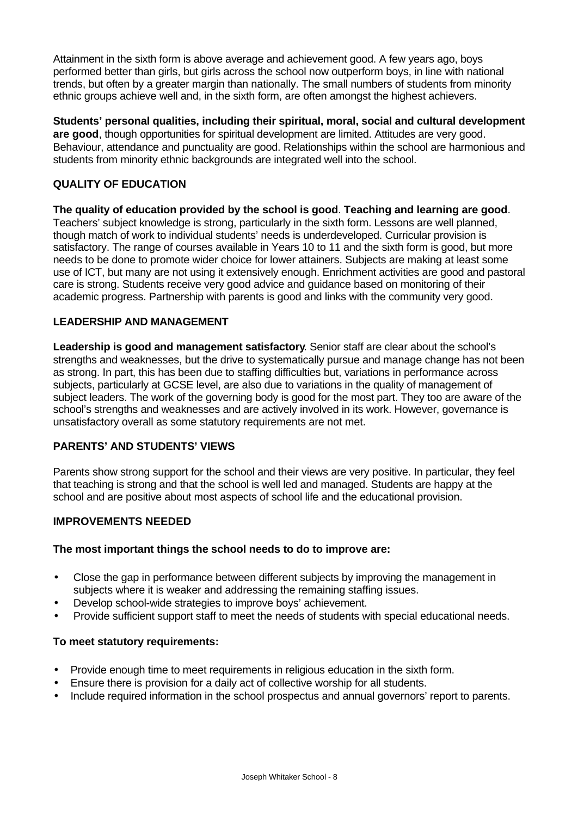Attainment in the sixth form is above average and achievement good. A few years ago, boys performed better than girls, but girls across the school now outperform boys, in line with national trends, but often by a greater margin than nationally. The small numbers of students from minority ethnic groups achieve well and, in the sixth form, are often amongst the highest achievers.

**Students' personal qualities, including their spiritual, moral, social and cultural development are good**, though opportunities for spiritual development are limited. Attitudes are very good. Behaviour, attendance and punctuality are good. Relationships within the school are harmonious and students from minority ethnic backgrounds are integrated well into the school.

### **QUALITY OF EDUCATION**

**The quality of education provided by the school is good**. **Teaching and learning are good**. Teachers' subject knowledge is strong, particularly in the sixth form. Lessons are well planned, though match of work to individual students' needs is underdeveloped. Curricular provision is satisfactory. The range of courses available in Years 10 to 11 and the sixth form is good, but more needs to be done to promote wider choice for lower attainers. Subjects are making at least some use of ICT, but many are not using it extensively enough. Enrichment activities are good and pastoral care is strong. Students receive very good advice and guidance based on monitoring of their academic progress. Partnership with parents is good and links with the community very good.

#### **LEADERSHIP AND MANAGEMENT**

**Leadership is good and management satisfactory**. Senior staff are clear about the school's strengths and weaknesses, but the drive to systematically pursue and manage change has not been as strong. In part, this has been due to staffing difficulties but, variations in performance across subjects, particularly at GCSE level, are also due to variations in the quality of management of subject leaders. The work of the governing body is good for the most part. They too are aware of the school's strengths and weaknesses and are actively involved in its work. However, governance is unsatisfactory overall as some statutory requirements are not met.

### **PARENTS' AND STUDENTS' VIEWS**

Parents show strong support for the school and their views are very positive. In particular, they feel that teaching is strong and that the school is well led and managed. Students are happy at the school and are positive about most aspects of school life and the educational provision.

#### **IMPROVEMENTS NEEDED**

#### **The most important things the school needs to do to improve are:**

- Close the gap in performance between different subjects by improving the management in subjects where it is weaker and addressing the remaining staffing issues.
- Develop school-wide strategies to improve boys' achievement.
- Provide sufficient support staff to meet the needs of students with special educational needs.

#### **To meet statutory requirements:**

- Provide enough time to meet requirements in religious education in the sixth form.
- Ensure there is provision for a daily act of collective worship for all students.
- Include required information in the school prospectus and annual governors' report to parents.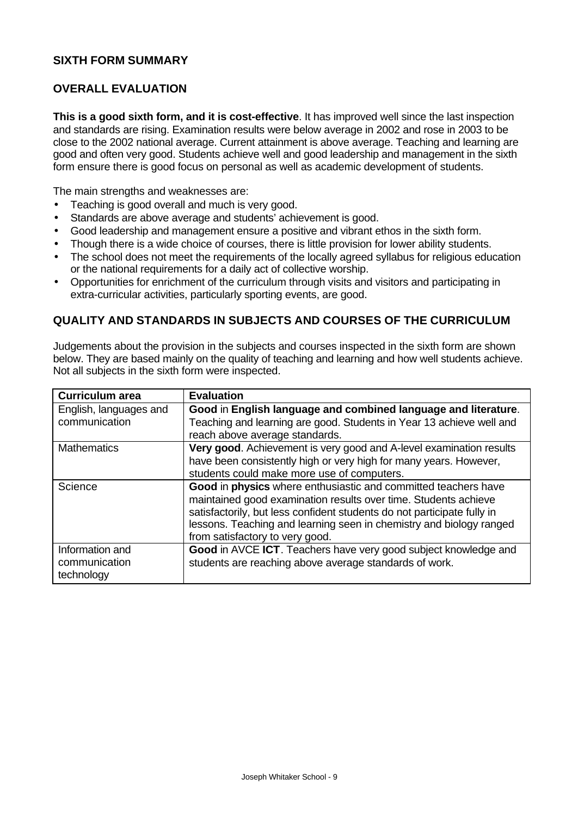### **SIXTH FORM SUMMARY**

### **OVERALL EVALUATION**

**This is a good sixth form, and it is cost-effective**. It has improved well since the last inspection and standards are rising. Examination results were below average in 2002 and rose in 2003 to be close to the 2002 national average. Current attainment is above average. Teaching and learning are good and often very good. Students achieve well and good leadership and management in the sixth form ensure there is good focus on personal as well as academic development of students.

The main strengths and weaknesses are:

- Teaching is good overall and much is very good.
- Standards are above average and students' achievement is good.
- Good leadership and management ensure a positive and vibrant ethos in the sixth form.
- Though there is a wide choice of courses, there is little provision for lower ability students.
- The school does not meet the requirements of the locally agreed syllabus for religious education or the national requirements for a daily act of collective worship.
- Opportunities for enrichment of the curriculum through visits and visitors and participating in extra-curricular activities, particularly sporting events, are good.

### **QUALITY AND STANDARDS IN SUBJECTS AND COURSES OF THE CURRICULUM**

Judgements about the provision in the subjects and courses inspected in the sixth form are shown below. They are based mainly on the quality of teaching and learning and how well students achieve. Not all subjects in the sixth form were inspected.

| <b>Curriculum area</b> | <b>Evaluation</b>                                                       |
|------------------------|-------------------------------------------------------------------------|
| English, languages and | Good in English language and combined language and literature.          |
| communication          | Teaching and learning are good. Students in Year 13 achieve well and    |
|                        | reach above average standards.                                          |
| <b>Mathematics</b>     | Very good. Achievement is very good and A-level examination results     |
|                        | have been consistently high or very high for many years. However,       |
|                        | students could make more use of computers.                              |
| Science                | Good in physics where enthusiastic and committed teachers have          |
|                        | maintained good examination results over time. Students achieve         |
|                        | satisfactorily, but less confident students do not participate fully in |
|                        | lessons. Teaching and learning seen in chemistry and biology ranged     |
|                        | from satisfactory to very good.                                         |
| Information and        | Good in AVCE ICT. Teachers have very good subject knowledge and         |
| communication          | students are reaching above average standards of work.                  |
| technology             |                                                                         |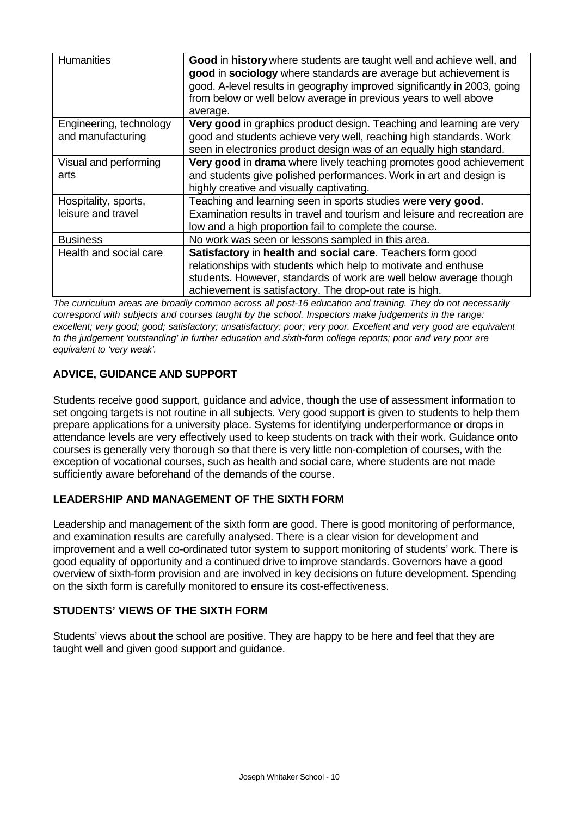| <b>Humanities</b>                            | Good in history where students are taught well and achieve well, and<br>good in sociology where standards are average but achievement is<br>good. A-level results in geography improved significantly in 2003, going<br>from below or well below average in previous years to well above<br>average. |
|----------------------------------------------|------------------------------------------------------------------------------------------------------------------------------------------------------------------------------------------------------------------------------------------------------------------------------------------------------|
| Engineering, technology<br>and manufacturing | Very good in graphics product design. Teaching and learning are very<br>good and students achieve very well, reaching high standards. Work<br>seen in electronics product design was of an equally high standard.                                                                                    |
| Visual and performing<br>arts                | Very good in drama where lively teaching promotes good achievement<br>and students give polished performances. Work in art and design is<br>highly creative and visually captivating.                                                                                                                |
| Hospitality, sports,<br>leisure and travel   | Teaching and learning seen in sports studies were very good.<br>Examination results in travel and tourism and leisure and recreation are<br>low and a high proportion fail to complete the course.                                                                                                   |
| <b>Business</b>                              | No work was seen or lessons sampled in this area.                                                                                                                                                                                                                                                    |
| Health and social care                       | Satisfactory in health and social care. Teachers form good<br>relationships with students which help to motivate and enthuse<br>students. However, standards of work are well below average though<br>achievement is satisfactory. The drop-out rate is high.                                        |

*The curriculum areas are broadly common across all post-16 education and training. They do not necessarily correspond with subjects and courses taught by the school. Inspectors make judgements in the range: excellent; very good; good; satisfactory; unsatisfactory; poor; very poor. Excellent and very good are equivalent to the judgement 'outstanding' in further education and sixth-form college reports; poor and very poor are equivalent to 'very weak'.*

## **ADVICE, GUIDANCE AND SUPPORT**

Students receive good support, guidance and advice, though the use of assessment information to set ongoing targets is not routine in all subjects. Very good support is given to students to help them prepare applications for a university place. Systems for identifying underperformance or drops in attendance levels are very effectively used to keep students on track with their work. Guidance onto courses is generally very thorough so that there is very little non-completion of courses, with the exception of vocational courses, such as health and social care, where students are not made sufficiently aware beforehand of the demands of the course.

### **LEADERSHIP AND MANAGEMENT OF THE SIXTH FORM**

Leadership and management of the sixth form are good. There is good monitoring of performance, and examination results are carefully analysed. There is a clear vision for development and improvement and a well co-ordinated tutor system to support monitoring of students' work. There is good equality of opportunity and a continued drive to improve standards. Governors have a good overview of sixth-form provision and are involved in key decisions on future development. Spending on the sixth form is carefully monitored to ensure its cost-effectiveness.

## **STUDENTS' VIEWS OF THE SIXTH FORM**

Students' views about the school are positive. They are happy to be here and feel that they are taught well and given good support and guidance.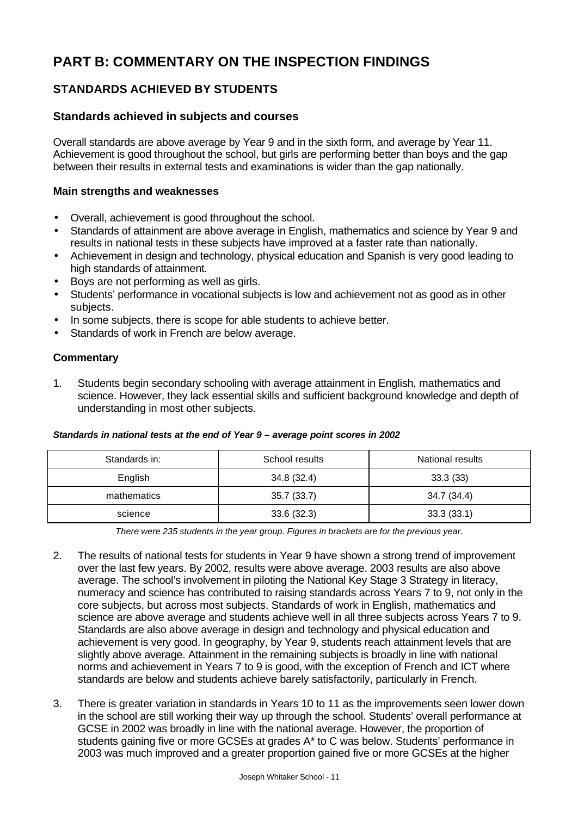# **PART B: COMMENTARY ON THE INSPECTION FINDINGS**

## **STANDARDS ACHIEVED BY STUDENTS**

### **Standards achieved in subjects and courses**

Overall standards are above average by Year 9 and in the sixth form, and average by Year 11. Achievement is good throughout the school, but girls are performing better than boys and the gap between their results in external tests and examinations is wider than the gap nationally.

#### **Main strengths and weaknesses**

- Overall, achievement is good throughout the school.
- Standards of attainment are above average in English, mathematics and science by Year 9 and results in national tests in these subjects have improved at a faster rate than nationally.
- Achievement in design and technology, physical education and Spanish is very good leading to high standards of attainment.
- Boys are not performing as well as girls.
- Students' performance in vocational subjects is low and achievement not as good as in other subjects.
- In some subjects, there is scope for able students to achieve better.
- Standards of work in French are below average.

#### **Commentary**

1. Students begin secondary schooling with average attainment in English, mathematics and science. However, they lack essential skills and sufficient background knowledge and depth of understanding in most other subjects.

#### *Standards in national tests at the end of Year 9 – average point scores in 2002*

| Standards in: | National results<br>School results |             |
|---------------|------------------------------------|-------------|
| English       | 34.8 (32.4)                        | 33.3(33)    |
| mathematics   | 35.7(33.7)                         | 34.7 (34.4) |
| science       | 33.6(32.3)                         | 33.3(33.1)  |

*There were 235 students in the year group. Figures in brackets are for the previous year.*

- 2. The results of national tests for students in Year 9 have shown a strong trend of improvement over the last few years. By 2002, results were above average. 2003 results are also above average. The school's involvement in piloting the National Key Stage 3 Strategy in literacy, numeracy and science has contributed to raising standards across Years 7 to 9, not only in the core subjects, but across most subjects. Standards of work in English, mathematics and science are above average and students achieve well in all three subjects across Years 7 to 9. Standards are also above average in design and technology and physical education and achievement is very good. In geography, by Year 9, students reach attainment levels that are slightly above average. Attainment in the remaining subjects is broadly in line with national norms and achievement in Years 7 to 9 is good, with the exception of French and ICT where standards are below and students achieve barely satisfactorily, particularly in French.
- 3. There is greater variation in standards in Years 10 to 11 as the improvements seen lower down in the school are still working their way up through the school. Students' overall performance at GCSE in 2002 was broadly in line with the national average. However, the proportion of students gaining five or more GCSEs at grades A\* to C was below. Students' performance in 2003 was much improved and a greater proportion gained five or more GCSEs at the higher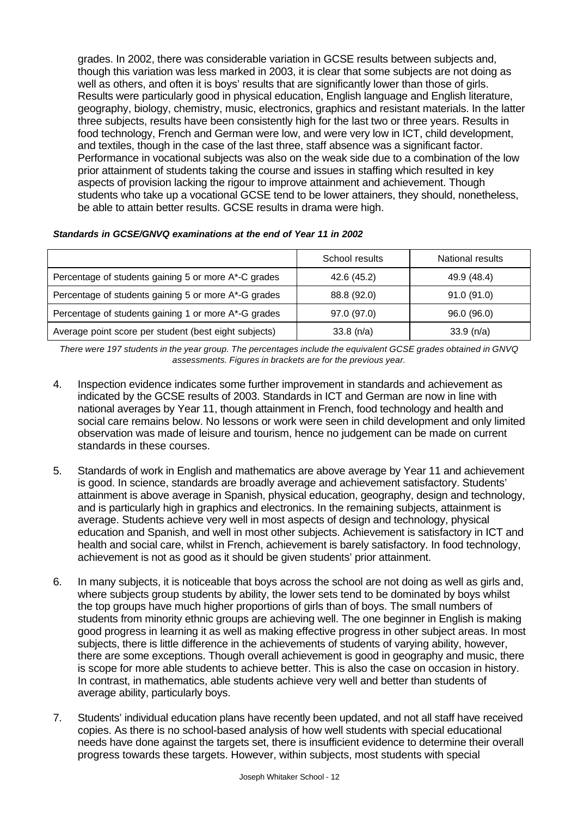grades. In 2002, there was considerable variation in GCSE results between subjects and, though this variation was less marked in 2003, it is clear that some subjects are not doing as well as others, and often it is boys' results that are significantly lower than those of girls. Results were particularly good in physical education, English language and English literature, geography, biology, chemistry, music, electronics, graphics and resistant materials. In the latter three subjects, results have been consistently high for the last two or three years. Results in food technology, French and German were low, and were very low in ICT, child development, and textiles, though in the case of the last three, staff absence was a significant factor. Performance in vocational subjects was also on the weak side due to a combination of the low prior attainment of students taking the course and issues in staffing which resulted in key aspects of provision lacking the rigour to improve attainment and achievement. Though students who take up a vocational GCSE tend to be lower attainers, they should, nonetheless, be able to attain better results. GCSE results in drama were high.

|                                                       | School results | National results |
|-------------------------------------------------------|----------------|------------------|
| Percentage of students gaining 5 or more A*-C grades  | 42.6 (45.2)    | 49.9 (48.4)      |
| Percentage of students gaining 5 or more A*-G grades  | 88.8 (92.0)    | 91.0(91.0)       |
| Percentage of students gaining 1 or more A*-G grades  | 97.0 (97.0)    | 96.0 (96.0)      |
| Average point score per student (best eight subjects) | $33.8$ (n/a)   | 33.9 (n/a)       |

#### *Standards in GCSE/GNVQ examinations at the end of Year 11 in 2002*

*There were 197 students in the year group. The percentages include the equivalent GCSE grades obtained in GNVQ assessments. Figures in brackets are for the previous year.*

- 4. Inspection evidence indicates some further improvement in standards and achievement as indicated by the GCSE results of 2003. Standards in ICT and German are now in line with national averages by Year 11, though attainment in French, food technology and health and social care remains below. No lessons or work were seen in child development and only limited observation was made of leisure and tourism, hence no judgement can be made on current standards in these courses.
- 5. Standards of work in English and mathematics are above average by Year 11 and achievement is good. In science, standards are broadly average and achievement satisfactory. Students' attainment is above average in Spanish, physical education, geography, design and technology, and is particularly high in graphics and electronics. In the remaining subjects, attainment is average. Students achieve very well in most aspects of design and technology, physical education and Spanish, and well in most other subjects. Achievement is satisfactory in ICT and health and social care, whilst in French, achievement is barely satisfactory. In food technology, achievement is not as good as it should be given students' prior attainment.
- 6. In many subjects, it is noticeable that boys across the school are not doing as well as girls and, where subjects group students by ability, the lower sets tend to be dominated by boys whilst the top groups have much higher proportions of girls than of boys. The small numbers of students from minority ethnic groups are achieving well. The one beginner in English is making good progress in learning it as well as making effective progress in other subject areas. In most subjects, there is little difference in the achievements of students of varying ability, however, there are some exceptions. Though overall achievement is good in geography and music, there is scope for more able students to achieve better. This is also the case on occasion in history. In contrast, in mathematics, able students achieve very well and better than students of average ability, particularly boys.
- 7. Students' individual education plans have recently been updated, and not all staff have received copies. As there is no school-based analysis of how well students with special educational needs have done against the targets set, there is insufficient evidence to determine their overall progress towards these targets. However, within subjects, most students with special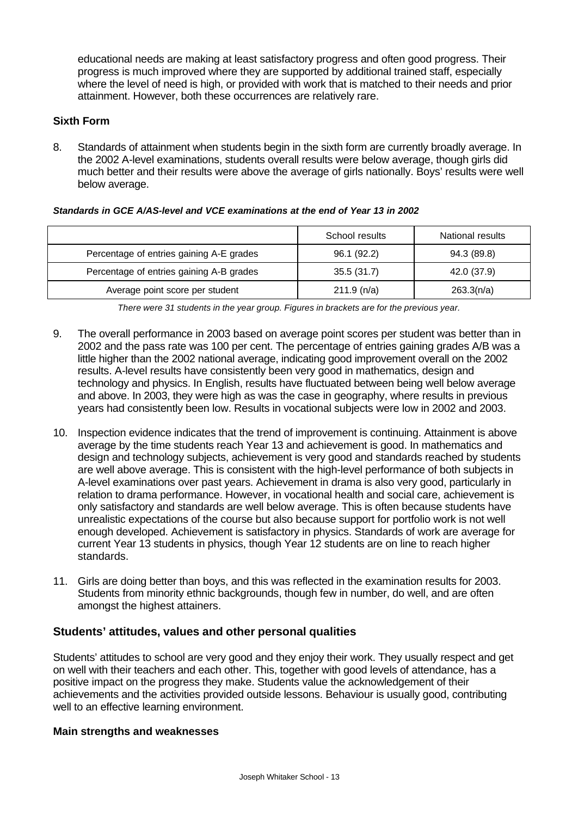educational needs are making at least satisfactory progress and often good progress. Their progress is much improved where they are supported by additional trained staff, especially where the level of need is high, or provided with work that is matched to their needs and prior attainment. However, both these occurrences are relatively rare.

### **Sixth Form**

8. Standards of attainment when students begin in the sixth form are currently broadly average. In the 2002 A-level examinations, students overall results were below average, though girls did much better and their results were above the average of girls nationally. Boys' results were well below average.

|                                          | School results | National results |
|------------------------------------------|----------------|------------------|
| Percentage of entries gaining A-E grades | 96.1 (92.2)    | 94.3 (89.8)      |
| Percentage of entries gaining A-B grades | 35.5(31.7)     | 42.0 (37.9)      |
| Average point score per student          | 211.9(n/a)     | 263.3(n/a)       |

*There were 31 students in the year group. Figures in brackets are for the previous year.*

- 9. The overall performance in 2003 based on average point scores per student was better than in 2002 and the pass rate was 100 per cent. The percentage of entries gaining grades A/B was a little higher than the 2002 national average, indicating good improvement overall on the 2002 results. A-level results have consistently been very good in mathematics, design and technology and physics. In English, results have fluctuated between being well below average and above. In 2003, they were high as was the case in geography, where results in previous years had consistently been low. Results in vocational subjects were low in 2002 and 2003.
- 10. Inspection evidence indicates that the trend of improvement is continuing. Attainment is above average by the time students reach Year 13 and achievement is good. In mathematics and design and technology subjects, achievement is very good and standards reached by students are well above average. This is consistent with the high-level performance of both subjects in A-level examinations over past years. Achievement in drama is also very good, particularly in relation to drama performance. However, in vocational health and social care, achievement is only satisfactory and standards are well below average. This is often because students have unrealistic expectations of the course but also because support for portfolio work is not well enough developed. Achievement is satisfactory in physics. Standards of work are average for current Year 13 students in physics, though Year 12 students are on line to reach higher standards.
- 11. Girls are doing better than boys, and this was reflected in the examination results for 2003. Students from minority ethnic backgrounds, though few in number, do well, and are often amongst the highest attainers.

### **Students' attitudes, values and other personal qualities**

Students' attitudes to school are very good and they enjoy their work. They usually respect and get on well with their teachers and each other. This, together with good levels of attendance, has a positive impact on the progress they make. Students value the acknowledgement of their achievements and the activities provided outside lessons. Behaviour is usually good, contributing well to an effective learning environment.

#### **Main strengths and weaknesses**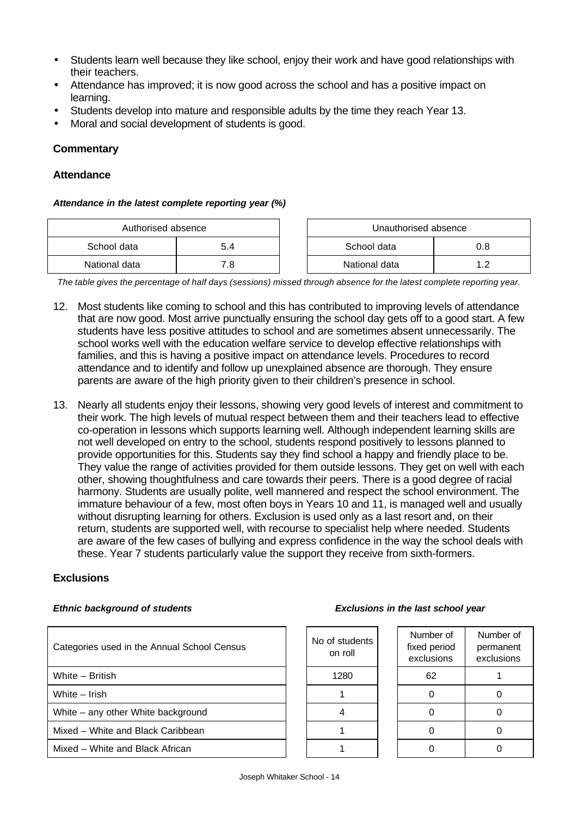- Students learn well because they like school, enjoy their work and have good relationships with their teachers.
- Attendance has improved; it is now good across the school and has a positive impact on learning.
- Students develop into mature and responsible adults by the time they reach Year 13.
- Moral and social development of students is good.

#### **Commentary**

#### **Attendance**

#### *Attendance in the latest complete reporting year (%)*

| Authorised absence |      | Unauthorised absence |  |
|--------------------|------|----------------------|--|
| School data        | 5.4  | School data          |  |
| National data      | 8. ⁄ | National data        |  |

*The table gives the percentage of half days (sessions) missed through absence for the latest complete reporting year.*

- 12. Most students like coming to school and this has contributed to improving levels of attendance that are now good. Most arrive punctually ensuring the school day gets off to a good start. A few students have less positive attitudes to school and are sometimes absent unnecessarily. The school works well with the education welfare service to develop effective relationships with families, and this is having a positive impact on attendance levels. Procedures to record attendance and to identify and follow up unexplained absence are thorough. They ensure parents are aware of the high priority given to their children's presence in school.
- 13. Nearly all students enjoy their lessons, showing very good levels of interest and commitment to their work. The high levels of mutual respect between them and their teachers lead to effective co-operation in lessons which supports learning well. Although independent learning skills are not well developed on entry to the school, students respond positively to lessons planned to provide opportunities for this. Students say they find school a happy and friendly place to be. They value the range of activities provided for them outside lessons. They get on well with each other, showing thoughtfulness and care towards their peers. There is a good degree of racial harmony. Students are usually polite, well mannered and respect the school environment. The immature behaviour of a few, most often boys in Years 10 and 11, is managed well and usually without disrupting learning for others. Exclusion is used only as a last resort and, on their return, students are supported well, with recourse to specialist help where needed. Students are aware of the few cases of bullying and express confidence in the way the school deals with these. Year 7 students particularly value the support they receive from sixth-formers.

#### **Exclusions**

#### *Ethnic background of students Exclusions in the last school year*

| Categories used in the Annual School Census | No of students<br>on roll | Number of<br>fixed period<br>exclusions | Numb<br>perma<br>exclus |
|---------------------------------------------|---------------------------|-----------------------------------------|-------------------------|
| White - British                             | 1280                      | 62                                      |                         |
| White - Irish                               |                           |                                         | 0                       |
| White – any other White background          |                           |                                         | ∩                       |
| Mixed – White and Black Caribbean           |                           |                                         |                         |
| Mixed – White and Black African             |                           |                                         |                         |

| of students<br>on roll | Number of<br>fixed period<br>exclusions |
|------------------------|-----------------------------------------|
|------------------------|-----------------------------------------|

| exclusions | exclusions |
|------------|------------|
| 62         |            |
| ი          | 0          |
| ი          | 0          |
| ი          | 0          |
|            |            |

Number of permanent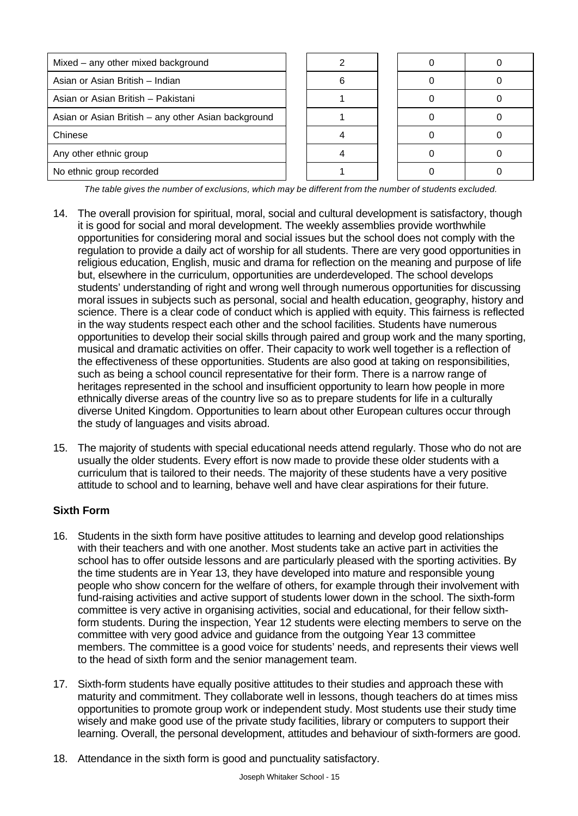| Mixed - any other mixed background                  |  |  |  |
|-----------------------------------------------------|--|--|--|
| Asian or Asian British - Indian                     |  |  |  |
| Asian or Asian British - Pakistani                  |  |  |  |
| Asian or Asian British - any other Asian background |  |  |  |
| Chinese                                             |  |  |  |
| Any other ethnic group                              |  |  |  |
| No ethnic group recorded                            |  |  |  |

*The table gives the number of exclusions, which may be different from the number of students excluded.*

- 14. The overall provision for spiritual, moral, social and cultural development is satisfactory, though it is good for social and moral development. The weekly assemblies provide worthwhile opportunities for considering moral and social issues but the school does not comply with the regulation to provide a daily act of worship for all students. There are very good opportunities in religious education, English, music and drama for reflection on the meaning and purpose of life but, elsewhere in the curriculum, opportunities are underdeveloped. The school develops students' understanding of right and wrong well through numerous opportunities for discussing moral issues in subjects such as personal, social and health education, geography, history and science. There is a clear code of conduct which is applied with equity. This fairness is reflected in the way students respect each other and the school facilities. Students have numerous opportunities to develop their social skills through paired and group work and the many sporting, musical and dramatic activities on offer. Their capacity to work well together is a reflection of the effectiveness of these opportunities. Students are also good at taking on responsibilities, such as being a school council representative for their form. There is a narrow range of heritages represented in the school and insufficient opportunity to learn how people in more ethnically diverse areas of the country live so as to prepare students for life in a culturally diverse United Kingdom. Opportunities to learn about other European cultures occur through the study of languages and visits abroad.
- 15. The majority of students with special educational needs attend regularly. Those who do not are usually the older students. Every effort is now made to provide these older students with a curriculum that is tailored to their needs. The majority of these students have a very positive attitude to school and to learning, behave well and have clear aspirations for their future.

### **Sixth Form**

- 16. Students in the sixth form have positive attitudes to learning and develop good relationships with their teachers and with one another. Most students take an active part in activities the school has to offer outside lessons and are particularly pleased with the sporting activities. By the time students are in Year 13, they have developed into mature and responsible young people who show concern for the welfare of others, for example through their involvement with fund-raising activities and active support of students lower down in the school. The sixth-form committee is very active in organising activities, social and educational, for their fellow sixthform students. During the inspection, Year 12 students were electing members to serve on the committee with very good advice and guidance from the outgoing Year 13 committee members. The committee is a good voice for students' needs, and represents their views well to the head of sixth form and the senior management team.
- 17. Sixth-form students have equally positive attitudes to their studies and approach these with maturity and commitment. They collaborate well in lessons, though teachers do at times miss opportunities to promote group work or independent study. Most students use their study time wisely and make good use of the private study facilities, library or computers to support their learning. Overall, the personal development, attitudes and behaviour of sixth-formers are good.
- 18. Attendance in the sixth form is good and punctuality satisfactory.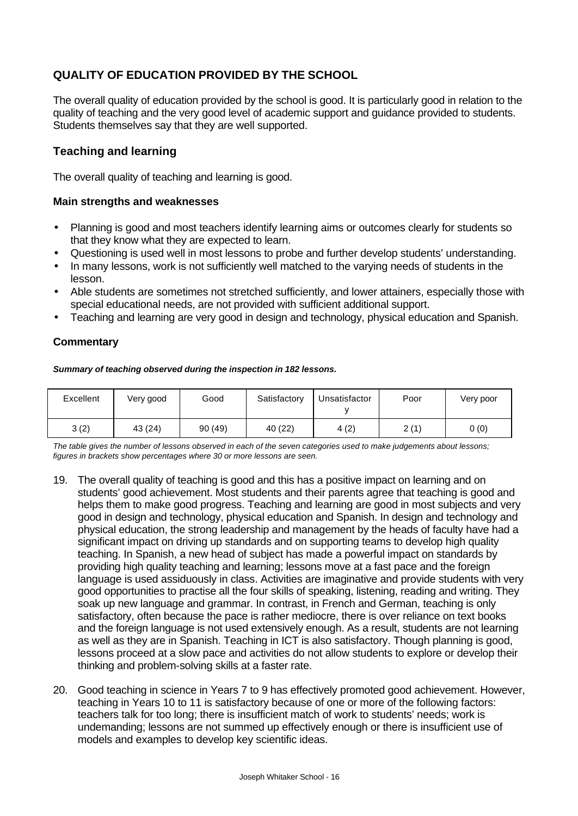## **QUALITY OF EDUCATION PROVIDED BY THE SCHOOL**

The overall quality of education provided by the school is good. It is particularly good in relation to the quality of teaching and the very good level of academic support and guidance provided to students. Students themselves say that they are well supported.

### **Teaching and learning**

The overall quality of teaching and learning is good.

#### **Main strengths and weaknesses**

- Planning is good and most teachers identify learning aims or outcomes clearly for students so that they know what they are expected to learn.
- Questioning is used well in most lessons to probe and further develop students' understanding.
- In many lessons, work is not sufficiently well matched to the varying needs of students in the lesson.
- Able students are sometimes not stretched sufficiently, and lower attainers, especially those with special educational needs, are not provided with sufficient additional support.
- Teaching and learning are very good in design and technology, physical education and Spanish.

#### **Commentary**

*Summary of teaching observed during the inspection in 182 lessons.*

| Excellent | Very good | Good   | Satisfactory | Unsatisfactor | Poor | Very poor |
|-----------|-----------|--------|--------------|---------------|------|-----------|
| 3(2)      | 43 (24)   | 90(49) | 40(22)       | 4(2)          | 2(1) | 0(0)      |

*The table gives the number of lessons observed in each of the seven categories used to make judgements about lessons; figures in brackets show percentages where 30 or more lessons are seen.*

- 19. The overall quality of teaching is good and this has a positive impact on learning and on students' good achievement. Most students and their parents agree that teaching is good and helps them to make good progress. Teaching and learning are good in most subjects and very good in design and technology, physical education and Spanish. In design and technology and physical education, the strong leadership and management by the heads of faculty have had a significant impact on driving up standards and on supporting teams to develop high quality teaching. In Spanish, a new head of subject has made a powerful impact on standards by providing high quality teaching and learning; lessons move at a fast pace and the foreign language is used assiduously in class. Activities are imaginative and provide students with very good opportunities to practise all the four skills of speaking, listening, reading and writing. They soak up new language and grammar. In contrast, in French and German, teaching is only satisfactory, often because the pace is rather mediocre, there is over reliance on text books and the foreign language is not used extensively enough. As a result, students are not learning as well as they are in Spanish. Teaching in ICT is also satisfactory. Though planning is good, lessons proceed at a slow pace and activities do not allow students to explore or develop their thinking and problem-solving skills at a faster rate.
- 20. Good teaching in science in Years 7 to 9 has effectively promoted good achievement. However, teaching in Years 10 to 11 is satisfactory because of one or more of the following factors: teachers talk for too long; there is insufficient match of work to students' needs; work is undemanding; lessons are not summed up effectively enough or there is insufficient use of models and examples to develop key scientific ideas.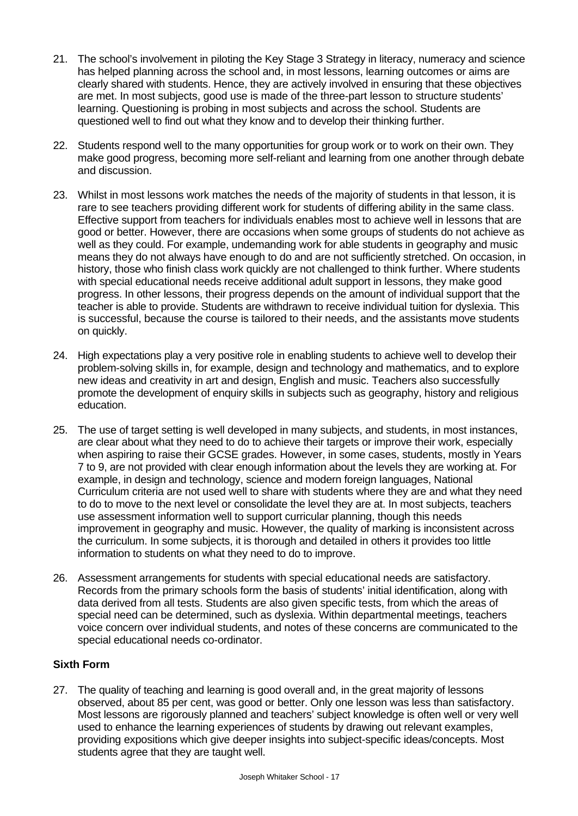- 21. The school's involvement in piloting the Key Stage 3 Strategy in literacy, numeracy and science has helped planning across the school and, in most lessons, learning outcomes or aims are clearly shared with students. Hence, they are actively involved in ensuring that these objectives are met. In most subjects, good use is made of the three-part lesson to structure students' learning. Questioning is probing in most subjects and across the school. Students are questioned well to find out what they know and to develop their thinking further.
- 22. Students respond well to the many opportunities for group work or to work on their own. They make good progress, becoming more self-reliant and learning from one another through debate and discussion.
- 23. Whilst in most lessons work matches the needs of the majority of students in that lesson, it is rare to see teachers providing different work for students of differing ability in the same class. Effective support from teachers for individuals enables most to achieve well in lessons that are good or better. However, there are occasions when some groups of students do not achieve as well as they could. For example, undemanding work for able students in geography and music means they do not always have enough to do and are not sufficiently stretched. On occasion, in history, those who finish class work quickly are not challenged to think further. Where students with special educational needs receive additional adult support in lessons, they make good progress. In other lessons, their progress depends on the amount of individual support that the teacher is able to provide. Students are withdrawn to receive individual tuition for dyslexia. This is successful, because the course is tailored to their needs, and the assistants move students on quickly.
- 24. High expectations play a very positive role in enabling students to achieve well to develop their problem-solving skills in, for example, design and technology and mathematics, and to explore new ideas and creativity in art and design, English and music. Teachers also successfully promote the development of enquiry skills in subjects such as geography, history and religious education.
- 25. The use of target setting is well developed in many subjects, and students, in most instances, are clear about what they need to do to achieve their targets or improve their work, especially when aspiring to raise their GCSE grades. However, in some cases, students, mostly in Years 7 to 9, are not provided with clear enough information about the levels they are working at. For example, in design and technology, science and modern foreign languages, National Curriculum criteria are not used well to share with students where they are and what they need to do to move to the next level or consolidate the level they are at. In most subjects, teachers use assessment information well to support curricular planning, though this needs improvement in geography and music. However, the quality of marking is inconsistent across the curriculum. In some subjects, it is thorough and detailed in others it provides too little information to students on what they need to do to improve.
- 26. Assessment arrangements for students with special educational needs are satisfactory. Records from the primary schools form the basis of students' initial identification, along with data derived from all tests. Students are also given specific tests, from which the areas of special need can be determined, such as dyslexia. Within departmental meetings, teachers voice concern over individual students, and notes of these concerns are communicated to the special educational needs co-ordinator.

### **Sixth Form**

27. The quality of teaching and learning is good overall and, in the great majority of lessons observed, about 85 per cent, was good or better. Only one lesson was less than satisfactory. Most lessons are rigorously planned and teachers' subject knowledge is often well or very well used to enhance the learning experiences of students by drawing out relevant examples, providing expositions which give deeper insights into subject-specific ideas/concepts. Most students agree that they are taught well.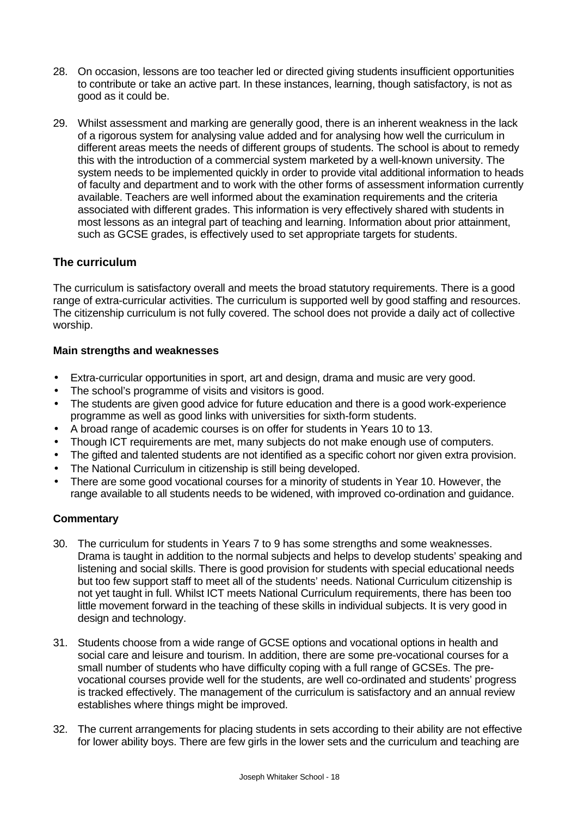- 28. On occasion, lessons are too teacher led or directed giving students insufficient opportunities to contribute or take an active part. In these instances, learning, though satisfactory, is not as good as it could be.
- 29. Whilst assessment and marking are generally good, there is an inherent weakness in the lack of a rigorous system for analysing value added and for analysing how well the curriculum in different areas meets the needs of different groups of students. The school is about to remedy this with the introduction of a commercial system marketed by a well-known university. The system needs to be implemented quickly in order to provide vital additional information to heads of faculty and department and to work with the other forms of assessment information currently available. Teachers are well informed about the examination requirements and the criteria associated with different grades. This information is very effectively shared with students in most lessons as an integral part of teaching and learning. Information about prior attainment, such as GCSE grades, is effectively used to set appropriate targets for students.

### **The curriculum**

The curriculum is satisfactory overall and meets the broad statutory requirements. There is a good range of extra-curricular activities. The curriculum is supported well by good staffing and resources. The citizenship curriculum is not fully covered. The school does not provide a daily act of collective worship.

#### **Main strengths and weaknesses**

- Extra-curricular opportunities in sport, art and design, drama and music are very good.
- The school's programme of visits and visitors is good.
- The students are given good advice for future education and there is a good work-experience programme as well as good links with universities for sixth-form students.
- A broad range of academic courses is on offer for students in Years 10 to 13.
- Though ICT requirements are met, many subjects do not make enough use of computers.
- The gifted and talented students are not identified as a specific cohort nor given extra provision.
- The National Curriculum in citizenship is still being developed.
- There are some good vocational courses for a minority of students in Year 10. However, the range available to all students needs to be widened, with improved co-ordination and guidance.

- 30. The curriculum for students in Years 7 to 9 has some strengths and some weaknesses. Drama is taught in addition to the normal subjects and helps to develop students' speaking and listening and social skills. There is good provision for students with special educational needs but too few support staff to meet all of the students' needs. National Curriculum citizenship is not yet taught in full. Whilst ICT meets National Curriculum requirements, there has been too little movement forward in the teaching of these skills in individual subjects. It is very good in design and technology.
- 31. Students choose from a wide range of GCSE options and vocational options in health and social care and leisure and tourism. In addition, there are some pre-vocational courses for a small number of students who have difficulty coping with a full range of GCSEs. The prevocational courses provide well for the students, are well co-ordinated and students' progress is tracked effectively. The management of the curriculum is satisfactory and an annual review establishes where things might be improved.
- 32. The current arrangements for placing students in sets according to their ability are not effective for lower ability boys. There are few girls in the lower sets and the curriculum and teaching are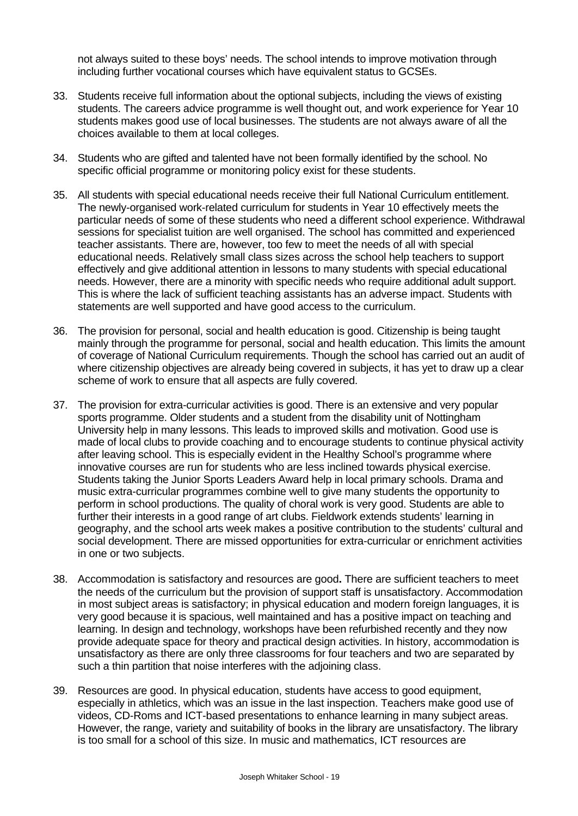not always suited to these boys' needs. The school intends to improve motivation through including further vocational courses which have equivalent status to GCSEs.

- 33. Students receive full information about the optional subjects, including the views of existing students. The careers advice programme is well thought out, and work experience for Year 10 students makes good use of local businesses. The students are not always aware of all the choices available to them at local colleges.
- 34. Students who are gifted and talented have not been formally identified by the school. No specific official programme or monitoring policy exist for these students.
- 35. All students with special educational needs receive their full National Curriculum entitlement. The newly-organised work-related curriculum for students in Year 10 effectively meets the particular needs of some of these students who need a different school experience. Withdrawal sessions for specialist tuition are well organised. The school has committed and experienced teacher assistants. There are, however, too few to meet the needs of all with special educational needs. Relatively small class sizes across the school help teachers to support effectively and give additional attention in lessons to many students with special educational needs. However, there are a minority with specific needs who require additional adult support. This is where the lack of sufficient teaching assistants has an adverse impact. Students with statements are well supported and have good access to the curriculum.
- 36. The provision for personal, social and health education is good. Citizenship is being taught mainly through the programme for personal, social and health education. This limits the amount of coverage of National Curriculum requirements. Though the school has carried out an audit of where citizenship objectives are already being covered in subjects, it has yet to draw up a clear scheme of work to ensure that all aspects are fully covered.
- 37. The provision for extra-curricular activities is good. There is an extensive and very popular sports programme. Older students and a student from the disability unit of Nottingham University help in many lessons. This leads to improved skills and motivation. Good use is made of local clubs to provide coaching and to encourage students to continue physical activity after leaving school. This is especially evident in the Healthy School's programme where innovative courses are run for students who are less inclined towards physical exercise. Students taking the Junior Sports Leaders Award help in local primary schools. Drama and music extra-curricular programmes combine well to give many students the opportunity to perform in school productions. The quality of choral work is very good. Students are able to further their interests in a good range of art clubs. Fieldwork extends students' learning in geography, and the school arts week makes a positive contribution to the students' cultural and social development. There are missed opportunities for extra-curricular or enrichment activities in one or two subjects.
- 38. Accommodation is satisfactory and resources are good**.** There are sufficient teachers to meet the needs of the curriculum but the provision of support staff is unsatisfactory. Accommodation in most subject areas is satisfactory; in physical education and modern foreign languages, it is very good because it is spacious, well maintained and has a positive impact on teaching and learning. In design and technology, workshops have been refurbished recently and they now provide adequate space for theory and practical design activities. In history, accommodation is unsatisfactory as there are only three classrooms for four teachers and two are separated by such a thin partition that noise interferes with the adjoining class.
- 39. Resources are good. In physical education, students have access to good equipment, especially in athletics, which was an issue in the last inspection. Teachers make good use of videos, CD-Roms and ICT-based presentations to enhance learning in many subject areas. However, the range, variety and suitability of books in the library are unsatisfactory. The library is too small for a school of this size. In music and mathematics, ICT resources are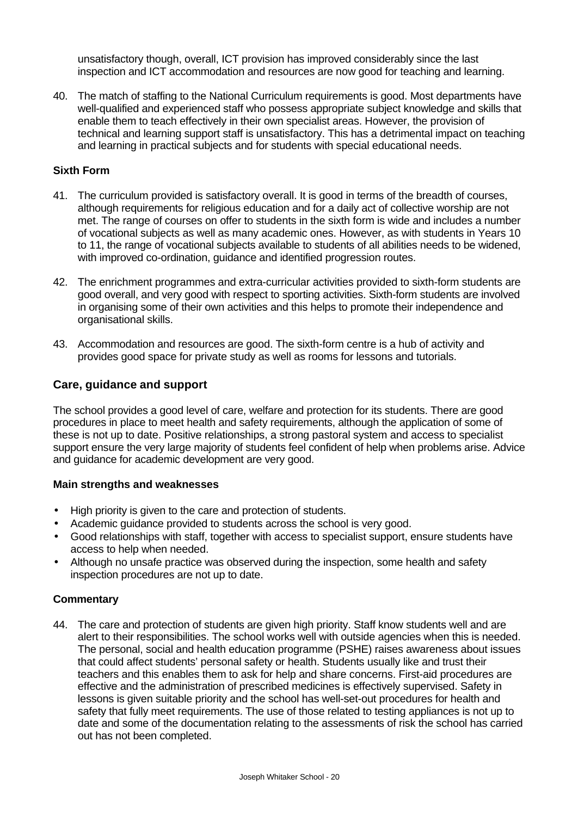unsatisfactory though, overall, ICT provision has improved considerably since the last inspection and ICT accommodation and resources are now good for teaching and learning.

40. The match of staffing to the National Curriculum requirements is good. Most departments have well-qualified and experienced staff who possess appropriate subject knowledge and skills that enable them to teach effectively in their own specialist areas. However, the provision of technical and learning support staff is unsatisfactory. This has a detrimental impact on teaching and learning in practical subjects and for students with special educational needs.

#### **Sixth Form**

- 41. The curriculum provided is satisfactory overall. It is good in terms of the breadth of courses, although requirements for religious education and for a daily act of collective worship are not met. The range of courses on offer to students in the sixth form is wide and includes a number of vocational subjects as well as many academic ones. However, as with students in Years 10 to 11, the range of vocational subjects available to students of all abilities needs to be widened, with improved co-ordination, guidance and identified progression routes.
- 42. The enrichment programmes and extra-curricular activities provided to sixth-form students are good overall, and very good with respect to sporting activities. Sixth-form students are involved in organising some of their own activities and this helps to promote their independence and organisational skills.
- 43. Accommodation and resources are good. The sixth-form centre is a hub of activity and provides good space for private study as well as rooms for lessons and tutorials.

#### **Care, guidance and support**

The school provides a good level of care, welfare and protection for its students. There are good procedures in place to meet health and safety requirements, although the application of some of these is not up to date. Positive relationships, a strong pastoral system and access to specialist support ensure the very large majority of students feel confident of help when problems arise. Advice and guidance for academic development are very good.

#### **Main strengths and weaknesses**

- High priority is given to the care and protection of students.
- Academic guidance provided to students across the school is very good.
- Good relationships with staff, together with access to specialist support, ensure students have access to help when needed.
- Although no unsafe practice was observed during the inspection, some health and safety inspection procedures are not up to date.

#### **Commentary**

44. The care and protection of students are given high priority. Staff know students well and are alert to their responsibilities. The school works well with outside agencies when this is needed. The personal, social and health education programme (PSHE) raises awareness about issues that could affect students' personal safety or health. Students usually like and trust their teachers and this enables them to ask for help and share concerns. First-aid procedures are effective and the administration of prescribed medicines is effectively supervised. Safety in lessons is given suitable priority and the school has well-set-out procedures for health and safety that fully meet requirements. The use of those related to testing appliances is not up to date and some of the documentation relating to the assessments of risk the school has carried out has not been completed.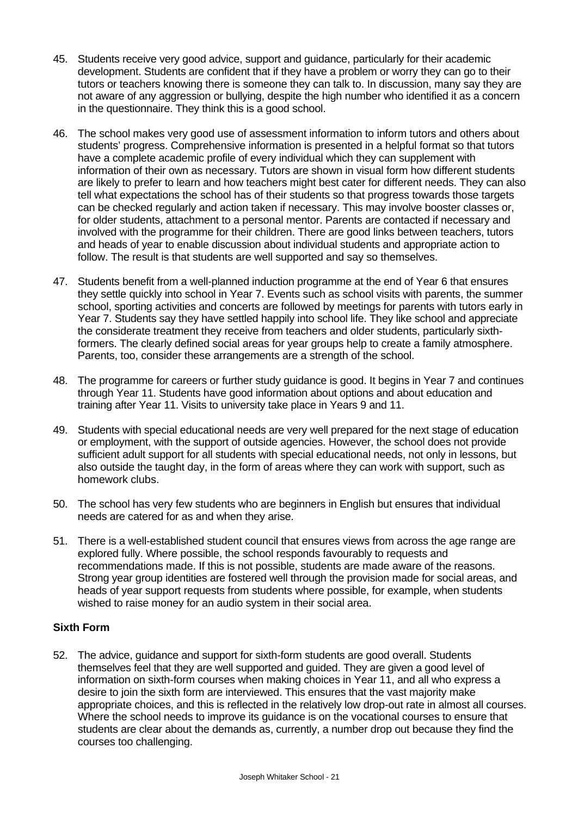- 45. Students receive very good advice, support and guidance, particularly for their academic development. Students are confident that if they have a problem or worry they can go to their tutors or teachers knowing there is someone they can talk to. In discussion, many say they are not aware of any aggression or bullying, despite the high number who identified it as a concern in the questionnaire. They think this is a good school.
- 46. The school makes very good use of assessment information to inform tutors and others about students' progress. Comprehensive information is presented in a helpful format so that tutors have a complete academic profile of every individual which they can supplement with information of their own as necessary. Tutors are shown in visual form how different students are likely to prefer to learn and how teachers might best cater for different needs. They can also tell what expectations the school has of their students so that progress towards those targets can be checked regularly and action taken if necessary. This may involve booster classes or, for older students, attachment to a personal mentor. Parents are contacted if necessary and involved with the programme for their children. There are good links between teachers, tutors and heads of year to enable discussion about individual students and appropriate action to follow. The result is that students are well supported and say so themselves.
- 47. Students benefit from a well-planned induction programme at the end of Year 6 that ensures they settle quickly into school in Year 7. Events such as school visits with parents, the summer school, sporting activities and concerts are followed by meetings for parents with tutors early in Year 7. Students say they have settled happily into school life. They like school and appreciate the considerate treatment they receive from teachers and older students, particularly sixthformers. The clearly defined social areas for year groups help to create a family atmosphere. Parents, too, consider these arrangements are a strength of the school.
- 48. The programme for careers or further study guidance is good. It begins in Year 7 and continues through Year 11. Students have good information about options and about education and training after Year 11. Visits to university take place in Years 9 and 11.
- 49. Students with special educational needs are very well prepared for the next stage of education or employment, with the support of outside agencies. However, the school does not provide sufficient adult support for all students with special educational needs, not only in lessons, but also outside the taught day, in the form of areas where they can work with support, such as homework clubs.
- 50. The school has very few students who are beginners in English but ensures that individual needs are catered for as and when they arise.
- 51. There is a well-established student council that ensures views from across the age range are explored fully. Where possible, the school responds favourably to requests and recommendations made. If this is not possible, students are made aware of the reasons. Strong year group identities are fostered well through the provision made for social areas, and heads of year support requests from students where possible, for example, when students wished to raise money for an audio system in their social area.

### **Sixth Form**

52. The advice, guidance and support for sixth-form students are good overall. Students themselves feel that they are well supported and guided. They are given a good level of information on sixth-form courses when making choices in Year 11, and all who express a desire to join the sixth form are interviewed. This ensures that the vast majority make appropriate choices, and this is reflected in the relatively low drop-out rate in almost all courses. Where the school needs to improve its guidance is on the vocational courses to ensure that students are clear about the demands as, currently, a number drop out because they find the courses too challenging.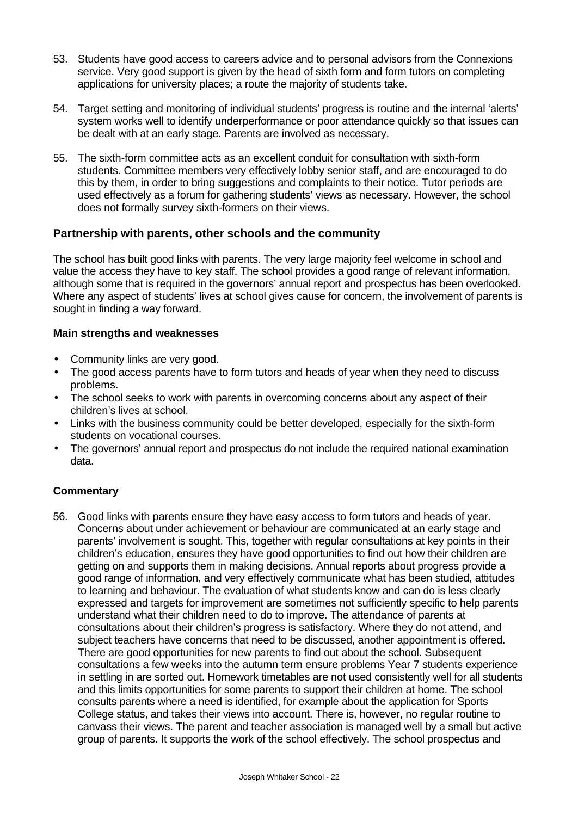- 53. Students have good access to careers advice and to personal advisors from the Connexions service. Very good support is given by the head of sixth form and form tutors on completing applications for university places; a route the majority of students take.
- 54. Target setting and monitoring of individual students' progress is routine and the internal 'alerts' system works well to identify underperformance or poor attendance quickly so that issues can be dealt with at an early stage. Parents are involved as necessary.
- 55. The sixth-form committee acts as an excellent conduit for consultation with sixth-form students. Committee members very effectively lobby senior staff, and are encouraged to do this by them, in order to bring suggestions and complaints to their notice. Tutor periods are used effectively as a forum for gathering students' views as necessary. However, the school does not formally survey sixth-formers on their views.

### **Partnership with parents, other schools and the community**

The school has built good links with parents. The very large majority feel welcome in school and value the access they have to key staff. The school provides a good range of relevant information, although some that is required in the governors' annual report and prospectus has been overlooked. Where any aspect of students' lives at school gives cause for concern, the involvement of parents is sought in finding a way forward.

#### **Main strengths and weaknesses**

- Community links are very good.
- The good access parents have to form tutors and heads of year when they need to discuss problems.
- The school seeks to work with parents in overcoming concerns about any aspect of their children's lives at school.
- Links with the business community could be better developed, especially for the sixth-form students on vocational courses.
- The governors' annual report and prospectus do not include the required national examination data.

### **Commentary**

56. Good links with parents ensure they have easy access to form tutors and heads of year. Concerns about under achievement or behaviour are communicated at an early stage and parents' involvement is sought. This, together with regular consultations at key points in their children's education, ensures they have good opportunities to find out how their children are getting on and supports them in making decisions. Annual reports about progress provide a good range of information, and very effectively communicate what has been studied, attitudes to learning and behaviour. The evaluation of what students know and can do is less clearly expressed and targets for improvement are sometimes not sufficiently specific to help parents understand what their children need to do to improve. The attendance of parents at consultations about their children's progress is satisfactory. Where they do not attend, and subject teachers have concerns that need to be discussed, another appointment is offered. There are good opportunities for new parents to find out about the school. Subsequent consultations a few weeks into the autumn term ensure problems Year 7 students experience in settling in are sorted out. Homework timetables are not used consistently well for all students and this limits opportunities for some parents to support their children at home. The school consults parents where a need is identified, for example about the application for Sports College status, and takes their views into account. There is, however, no regular routine to canvass their views. The parent and teacher association is managed well by a small but active group of parents. It supports the work of the school effectively. The school prospectus and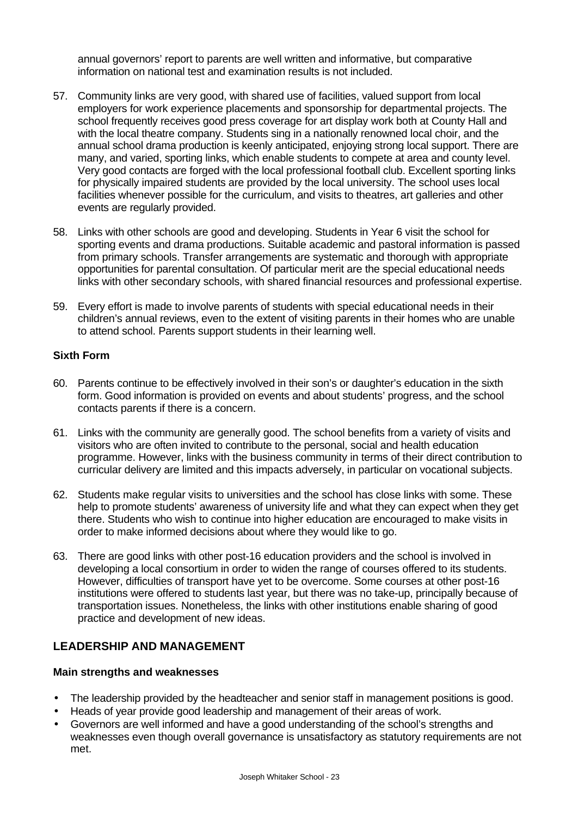annual governors' report to parents are well written and informative, but comparative information on national test and examination results is not included.

- 57. Community links are very good, with shared use of facilities, valued support from local employers for work experience placements and sponsorship for departmental projects. The school frequently receives good press coverage for art display work both at County Hall and with the local theatre company. Students sing in a nationally renowned local choir, and the annual school drama production is keenly anticipated, enjoying strong local support. There are many, and varied, sporting links, which enable students to compete at area and county level. Very good contacts are forged with the local professional football club. Excellent sporting links for physically impaired students are provided by the local university. The school uses local facilities whenever possible for the curriculum, and visits to theatres, art galleries and other events are regularly provided.
- 58. Links with other schools are good and developing. Students in Year 6 visit the school for sporting events and drama productions. Suitable academic and pastoral information is passed from primary schools. Transfer arrangements are systematic and thorough with appropriate opportunities for parental consultation. Of particular merit are the special educational needs links with other secondary schools, with shared financial resources and professional expertise.
- 59. Every effort is made to involve parents of students with special educational needs in their children's annual reviews, even to the extent of visiting parents in their homes who are unable to attend school. Parents support students in their learning well.

#### **Sixth Form**

- 60. Parents continue to be effectively involved in their son's or daughter's education in the sixth form. Good information is provided on events and about students' progress, and the school contacts parents if there is a concern.
- 61. Links with the community are generally good. The school benefits from a variety of visits and visitors who are often invited to contribute to the personal, social and health education programme. However, links with the business community in terms of their direct contribution to curricular delivery are limited and this impacts adversely, in particular on vocational subjects.
- 62. Students make regular visits to universities and the school has close links with some. These help to promote students' awareness of university life and what they can expect when they get there. Students who wish to continue into higher education are encouraged to make visits in order to make informed decisions about where they would like to go.
- 63. There are good links with other post-16 education providers and the school is involved in developing a local consortium in order to widen the range of courses offered to its students. However, difficulties of transport have yet to be overcome. Some courses at other post-16 institutions were offered to students last year, but there was no take-up, principally because of transportation issues. Nonetheless, the links with other institutions enable sharing of good practice and development of new ideas.

### **LEADERSHIP AND MANAGEMENT**

#### **Main strengths and weaknesses**

- The leadership provided by the headteacher and senior staff in management positions is good.
- Heads of year provide good leadership and management of their areas of work.
- Governors are well informed and have a good understanding of the school's strengths and weaknesses even though overall governance is unsatisfactory as statutory requirements are not met.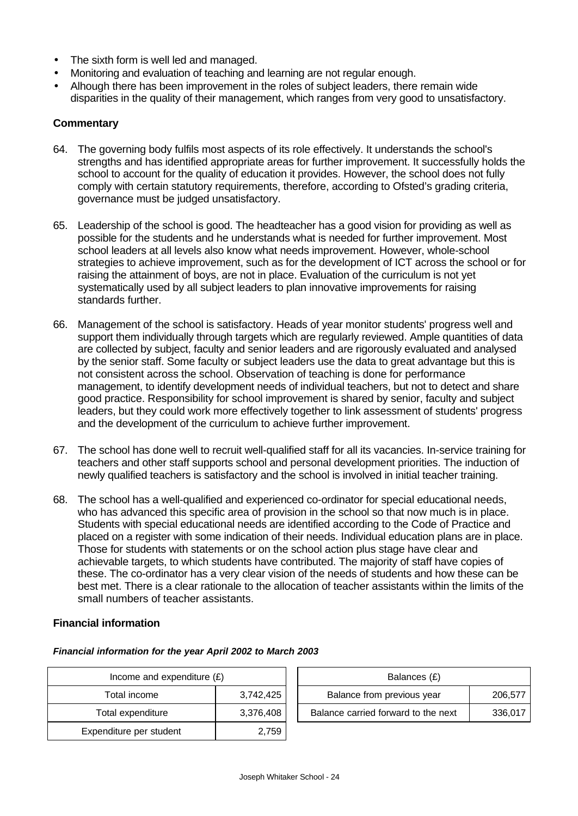- The sixth form is well led and managed.
- Monitoring and evaluation of teaching and learning are not regular enough.
- Alhough there has been improvement in the roles of subject leaders, there remain wide disparities in the quality of their management, which ranges from very good to unsatisfactory.

#### **Commentary**

- 64. The governing body fulfils most aspects of its role effectively. It understands the school's strengths and has identified appropriate areas for further improvement. It successfully holds the school to account for the quality of education it provides. However, the school does not fully comply with certain statutory requirements, therefore, according to Ofsted's grading criteria, governance must be judged unsatisfactory.
- 65. Leadership of the school is good. The headteacher has a good vision for providing as well as possible for the students and he understands what is needed for further improvement. Most school leaders at all levels also know what needs improvement. However, whole-school strategies to achieve improvement, such as for the development of ICT across the school or for raising the attainment of boys, are not in place. Evaluation of the curriculum is not yet systematically used by all subject leaders to plan innovative improvements for raising standards further.
- 66. Management of the school is satisfactory. Heads of year monitor students' progress well and support them individually through targets which are regularly reviewed. Ample quantities of data are collected by subject, faculty and senior leaders and are rigorously evaluated and analysed by the senior staff. Some faculty or subject leaders use the data to great advantage but this is not consistent across the school. Observation of teaching is done for performance management, to identify development needs of individual teachers, but not to detect and share good practice. Responsibility for school improvement is shared by senior, faculty and subject leaders, but they could work more effectively together to link assessment of students' progress and the development of the curriculum to achieve further improvement.
- 67. The school has done well to recruit well-qualified staff for all its vacancies. In-service training for teachers and other staff supports school and personal development priorities. The induction of newly qualified teachers is satisfactory and the school is involved in initial teacher training.
- 68. The school has a well-qualified and experienced co-ordinator for special educational needs, who has advanced this specific area of provision in the school so that now much is in place. Students with special educational needs are identified according to the Code of Practice and placed on a register with some indication of their needs. Individual education plans are in place. Those for students with statements or on the school action plus stage have clear and achievable targets, to which students have contributed. The majority of staff have copies of these. The co-ordinator has a very clear vision of the needs of students and how these can be best met. There is a clear rationale to the allocation of teacher assistants within the limits of the small numbers of teacher assistants.

#### **Financial information**

| Income and expenditure $(E)$ |           |  | Balances (£)                        |         |
|------------------------------|-----------|--|-------------------------------------|---------|
| Total income                 | 3,742,425 |  | Balance from previous year          | 206,577 |
| Total expenditure            | 3,376,408 |  | Balance carried forward to the next | 336,017 |
| Expenditure per student      | 2,759     |  |                                     |         |

#### *Financial information for the year April 2002 to March 2003*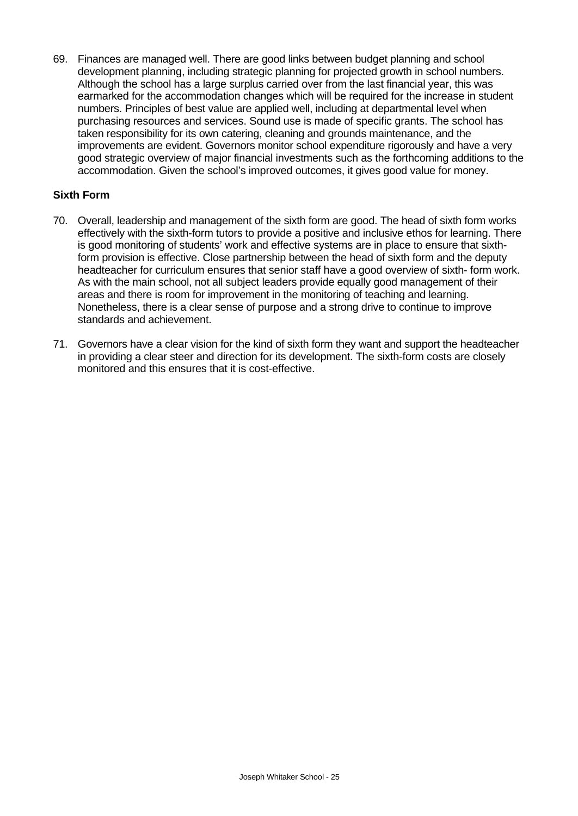69. Finances are managed well. There are good links between budget planning and school development planning, including strategic planning for projected growth in school numbers. Although the school has a large surplus carried over from the last financial year, this was earmarked for the accommodation changes which will be required for the increase in student numbers. Principles of best value are applied well, including at departmental level when purchasing resources and services. Sound use is made of specific grants. The school has taken responsibility for its own catering, cleaning and grounds maintenance, and the improvements are evident. Governors monitor school expenditure rigorously and have a very good strategic overview of major financial investments such as the forthcoming additions to the accommodation. Given the school's improved outcomes, it gives good value for money.

#### **Sixth Form**

- 70. Overall, leadership and management of the sixth form are good. The head of sixth form works effectively with the sixth-form tutors to provide a positive and inclusive ethos for learning. There is good monitoring of students' work and effective systems are in place to ensure that sixthform provision is effective. Close partnership between the head of sixth form and the deputy headteacher for curriculum ensures that senior staff have a good overview of sixth- form work. As with the main school, not all subject leaders provide equally good management of their areas and there is room for improvement in the monitoring of teaching and learning. Nonetheless, there is a clear sense of purpose and a strong drive to continue to improve standards and achievement.
- 71. Governors have a clear vision for the kind of sixth form they want and support the headteacher in providing a clear steer and direction for its development. The sixth-form costs are closely monitored and this ensures that it is cost-effective.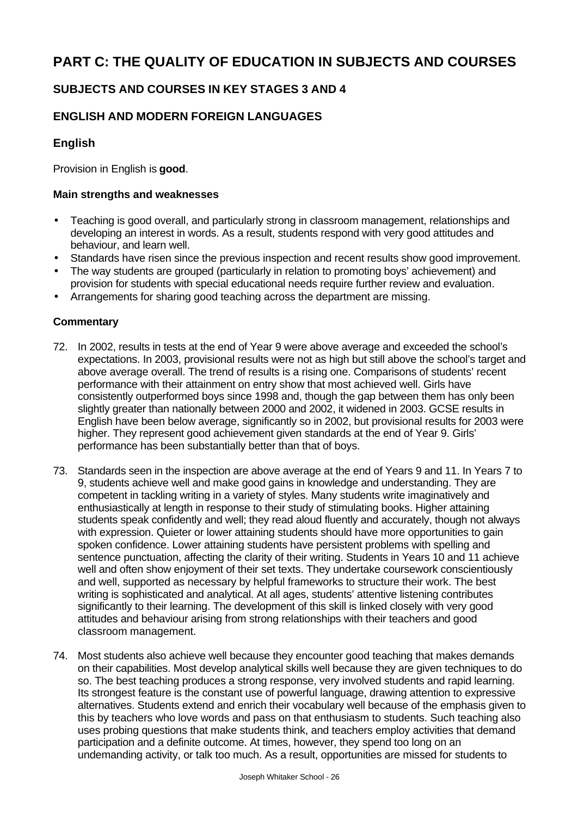# **PART C: THE QUALITY OF EDUCATION IN SUBJECTS AND COURSES**

## **SUBJECTS AND COURSES IN KEY STAGES 3 AND 4**

## **ENGLISH AND MODERN FOREIGN LANGUAGES**

### **English**

Provision in English is **good**.

#### **Main strengths and weaknesses**

- Teaching is good overall, and particularly strong in classroom management, relationships and developing an interest in words. As a result, students respond with very good attitudes and behaviour, and learn well.
- Standards have risen since the previous inspection and recent results show good improvement.
- The way students are grouped (particularly in relation to promoting boys' achievement) and provision for students with special educational needs require further review and evaluation.
- Arrangements for sharing good teaching across the department are missing.

- 72. In 2002, results in tests at the end of Year 9 were above average and exceeded the school's expectations. In 2003, provisional results were not as high but still above the school's target and above average overall. The trend of results is a rising one. Comparisons of students' recent performance with their attainment on entry show that most achieved well. Girls have consistently outperformed boys since 1998 and, though the gap between them has only been slightly greater than nationally between 2000 and 2002, it widened in 2003. GCSE results in English have been below average, significantly so in 2002, but provisional results for 2003 were higher. They represent good achievement given standards at the end of Year 9. Girls' performance has been substantially better than that of boys.
- 73. Standards seen in the inspection are above average at the end of Years 9 and 11. In Years 7 to 9, students achieve well and make good gains in knowledge and understanding. They are competent in tackling writing in a variety of styles. Many students write imaginatively and enthusiastically at length in response to their study of stimulating books. Higher attaining students speak confidently and well; they read aloud fluently and accurately, though not always with expression. Quieter or lower attaining students should have more opportunities to gain spoken confidence. Lower attaining students have persistent problems with spelling and sentence punctuation, affecting the clarity of their writing. Students in Years 10 and 11 achieve well and often show enjoyment of their set texts. They undertake coursework conscientiously and well, supported as necessary by helpful frameworks to structure their work. The best writing is sophisticated and analytical. At all ages, students' attentive listening contributes significantly to their learning. The development of this skill is linked closely with very good attitudes and behaviour arising from strong relationships with their teachers and good classroom management.
- 74. Most students also achieve well because they encounter good teaching that makes demands on their capabilities. Most develop analytical skills well because they are given techniques to do so. The best teaching produces a strong response, very involved students and rapid learning. Its strongest feature is the constant use of powerful language, drawing attention to expressive alternatives. Students extend and enrich their vocabulary well because of the emphasis given to this by teachers who love words and pass on that enthusiasm to students. Such teaching also uses probing questions that make students think, and teachers employ activities that demand participation and a definite outcome. At times, however, they spend too long on an undemanding activity, or talk too much. As a result, opportunities are missed for students to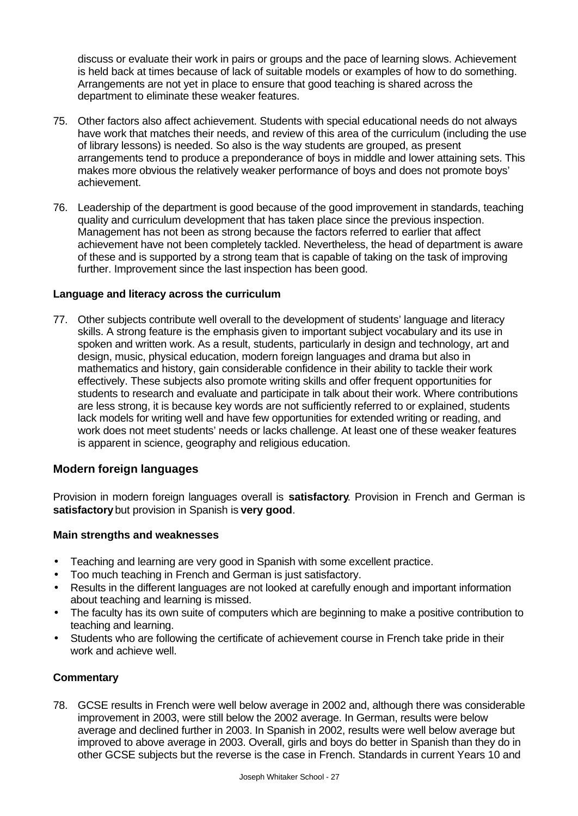discuss or evaluate their work in pairs or groups and the pace of learning slows. Achievement is held back at times because of lack of suitable models or examples of how to do something. Arrangements are not yet in place to ensure that good teaching is shared across the department to eliminate these weaker features.

- 75. Other factors also affect achievement. Students with special educational needs do not always have work that matches their needs, and review of this area of the curriculum (including the use of library lessons) is needed. So also is the way students are grouped, as present arrangements tend to produce a preponderance of boys in middle and lower attaining sets. This makes more obvious the relatively weaker performance of boys and does not promote boys' achievement.
- 76. Leadership of the department is good because of the good improvement in standards, teaching quality and curriculum development that has taken place since the previous inspection. Management has not been as strong because the factors referred to earlier that affect achievement have not been completely tackled. Nevertheless, the head of department is aware of these and is supported by a strong team that is capable of taking on the task of improving further. Improvement since the last inspection has been good.

#### **Language and literacy across the curriculum**

77. Other subjects contribute well overall to the development of students' language and literacy skills. A strong feature is the emphasis given to important subject vocabulary and its use in spoken and written work. As a result, students, particularly in design and technology, art and design, music, physical education, modern foreign languages and drama but also in mathematics and history, gain considerable confidence in their ability to tackle their work effectively. These subjects also promote writing skills and offer frequent opportunities for students to research and evaluate and participate in talk about their work. Where contributions are less strong, it is because key words are not sufficiently referred to or explained, students lack models for writing well and have few opportunities for extended writing or reading, and work does not meet students' needs or lacks challenge. At least one of these weaker features is apparent in science, geography and religious education.

### **Modern foreign languages**

Provision in modern foreign languages overall is **satisfactory**. Provision in French and German is **satisfactory** but provision in Spanish is **very good**.

#### **Main strengths and weaknesses**

- Teaching and learning are very good in Spanish with some excellent practice.
- Too much teaching in French and German is just satisfactory.
- Results in the different languages are not looked at carefully enough and important information about teaching and learning is missed.
- The faculty has its own suite of computers which are beginning to make a positive contribution to teaching and learning.
- Students who are following the certificate of achievement course in French take pride in their work and achieve well.

### **Commentary**

78. GCSE results in French were well below average in 2002 and, although there was considerable improvement in 2003, were still below the 2002 average. In German, results were below average and declined further in 2003. In Spanish in 2002, results were well below average but improved to above average in 2003. Overall, girls and boys do better in Spanish than they do in other GCSE subjects but the reverse is the case in French. Standards in current Years 10 and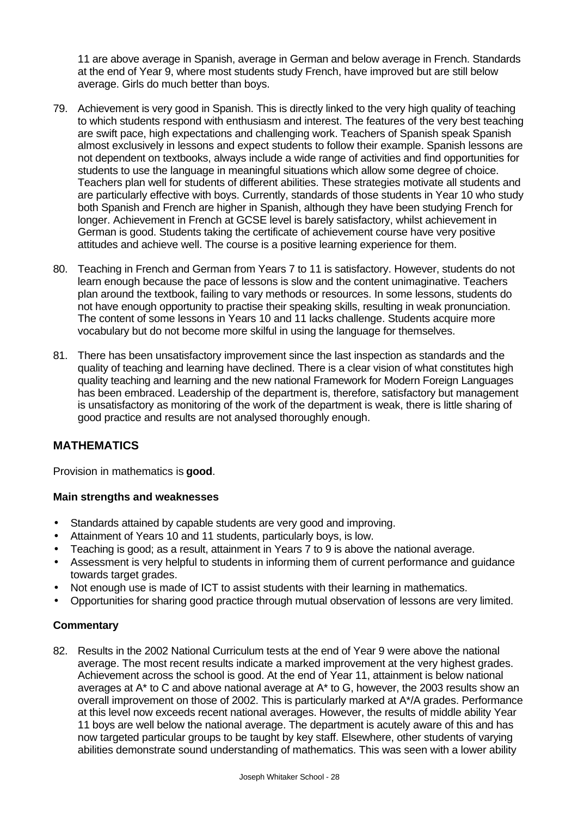11 are above average in Spanish, average in German and below average in French. Standards at the end of Year 9, where most students study French, have improved but are still below average. Girls do much better than boys.

- 79. Achievement is very good in Spanish. This is directly linked to the very high quality of teaching to which students respond with enthusiasm and interest. The features of the very best teaching are swift pace, high expectations and challenging work. Teachers of Spanish speak Spanish almost exclusively in lessons and expect students to follow their example. Spanish lessons are not dependent on textbooks, always include a wide range of activities and find opportunities for students to use the language in meaningful situations which allow some degree of choice. Teachers plan well for students of different abilities. These strategies motivate all students and are particularly effective with boys. Currently, standards of those students in Year 10 who study both Spanish and French are higher in Spanish, although they have been studying French for longer. Achievement in French at GCSE level is barely satisfactory, whilst achievement in German is good. Students taking the certificate of achievement course have very positive attitudes and achieve well. The course is a positive learning experience for them.
- 80. Teaching in French and German from Years 7 to 11 is satisfactory. However, students do not learn enough because the pace of lessons is slow and the content unimaginative. Teachers plan around the textbook, failing to vary methods or resources. In some lessons, students do not have enough opportunity to practise their speaking skills, resulting in weak pronunciation. The content of some lessons in Years 10 and 11 lacks challenge. Students acquire more vocabulary but do not become more skilful in using the language for themselves.
- 81. There has been unsatisfactory improvement since the last inspection as standards and the quality of teaching and learning have declined. There is a clear vision of what constitutes high quality teaching and learning and the new national Framework for Modern Foreign Languages has been embraced. Leadership of the department is, therefore, satisfactory but management is unsatisfactory as monitoring of the work of the department is weak, there is little sharing of good practice and results are not analysed thoroughly enough.

## **MATHEMATICS**

Provision in mathematics is **good**.

#### **Main strengths and weaknesses**

- Standards attained by capable students are very good and improving.
- Attainment of Years 10 and 11 students, particularly boys, is low.
- Teaching is good; as a result, attainment in Years 7 to 9 is above the national average.
- Assessment is very helpful to students in informing them of current performance and guidance towards target grades.
- Not enough use is made of ICT to assist students with their learning in mathematics.
- Opportunities for sharing good practice through mutual observation of lessons are very limited.

### **Commentary**

82. Results in the 2002 National Curriculum tests at the end of Year 9 were above the national average. The most recent results indicate a marked improvement at the very highest grades. Achievement across the school is good. At the end of Year 11, attainment is below national averages at A\* to C and above national average at A\* to G, however, the 2003 results show an overall improvement on those of 2002. This is particularly marked at A\*/A grades. Performance at this level now exceeds recent national averages. However, the results of middle ability Year 11 boys are well below the national average. The department is acutely aware of this and has now targeted particular groups to be taught by key staff. Elsewhere, other students of varying abilities demonstrate sound understanding of mathematics. This was seen with a lower ability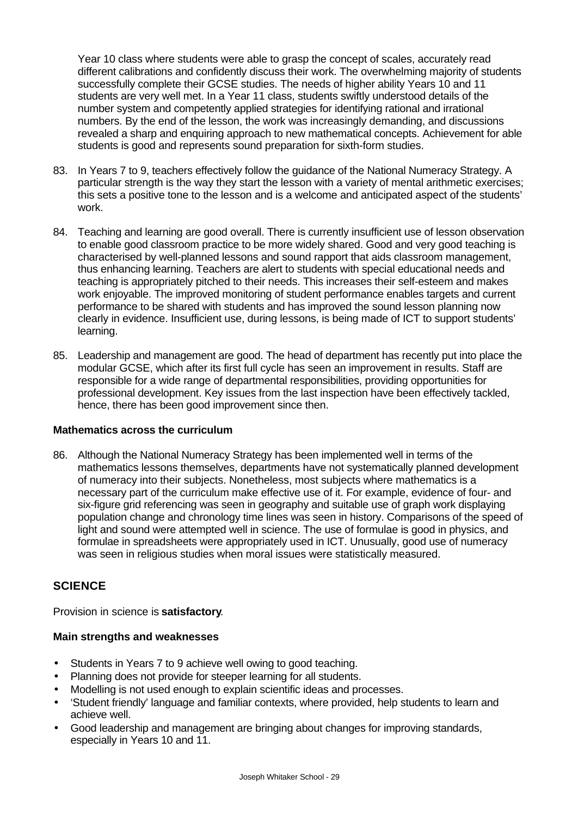Year 10 class where students were able to grasp the concept of scales, accurately read different calibrations and confidently discuss their work. The overwhelming majority of students successfully complete their GCSE studies. The needs of higher ability Years 10 and 11 students are very well met. In a Year 11 class, students swiftly understood details of the number system and competently applied strategies for identifying rational and irrational numbers. By the end of the lesson, the work was increasingly demanding, and discussions revealed a sharp and enquiring approach to new mathematical concepts. Achievement for able students is good and represents sound preparation for sixth-form studies.

- 83. In Years 7 to 9, teachers effectively follow the guidance of the National Numeracy Strategy. A particular strength is the way they start the lesson with a variety of mental arithmetic exercises; this sets a positive tone to the lesson and is a welcome and anticipated aspect of the students' work.
- 84. Teaching and learning are good overall. There is currently insufficient use of lesson observation to enable good classroom practice to be more widely shared. Good and very good teaching is characterised by well-planned lessons and sound rapport that aids classroom management, thus enhancing learning. Teachers are alert to students with special educational needs and teaching is appropriately pitched to their needs. This increases their self-esteem and makes work enjoyable. The improved monitoring of student performance enables targets and current performance to be shared with students and has improved the sound lesson planning now clearly in evidence. Insufficient use, during lessons, is being made of ICT to support students' learning.
- 85. Leadership and management are good. The head of department has recently put into place the modular GCSE, which after its first full cycle has seen an improvement in results. Staff are responsible for a wide range of departmental responsibilities, providing opportunities for professional development. Key issues from the last inspection have been effectively tackled, hence, there has been good improvement since then.

#### **Mathematics across the curriculum**

86. Although the National Numeracy Strategy has been implemented well in terms of the mathematics lessons themselves, departments have not systematically planned development of numeracy into their subjects. Nonetheless, most subjects where mathematics is a necessary part of the curriculum make effective use of it. For example, evidence of four- and six-figure grid referencing was seen in geography and suitable use of graph work displaying population change and chronology time lines was seen in history. Comparisons of the speed of light and sound were attempted well in science. The use of formulae is good in physics, and formulae in spreadsheets were appropriately used in ICT. Unusually, good use of numeracy was seen in religious studies when moral issues were statistically measured.

### **SCIENCE**

Provision in science is **satisfactory**.

#### **Main strengths and weaknesses**

- Students in Years 7 to 9 achieve well owing to good teaching.
- Planning does not provide for steeper learning for all students.
- Modelling is not used enough to explain scientific ideas and processes.
- 'Student friendly' language and familiar contexts, where provided, help students to learn and achieve well.
- Good leadership and management are bringing about changes for improving standards, especially in Years 10 and 11.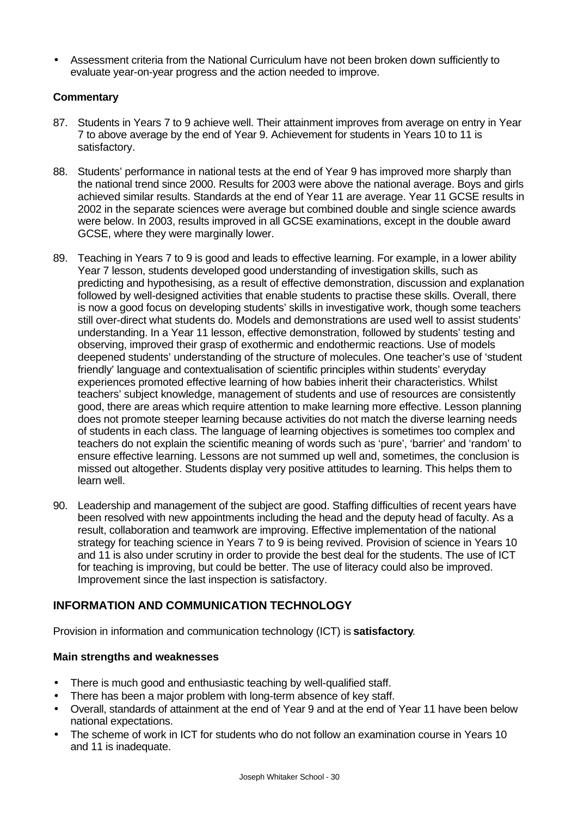• Assessment criteria from the National Curriculum have not been broken down sufficiently to evaluate year-on-year progress and the action needed to improve.

#### **Commentary**

- 87. Students in Years 7 to 9 achieve well. Their attainment improves from average on entry in Year 7 to above average by the end of Year 9. Achievement for students in Years 10 to 11 is satisfactory.
- 88. Students' performance in national tests at the end of Year 9 has improved more sharply than the national trend since 2000. Results for 2003 were above the national average. Boys and girls achieved similar results. Standards at the end of Year 11 are average. Year 11 GCSE results in 2002 in the separate sciences were average but combined double and single science awards were below. In 2003, results improved in all GCSE examinations, except in the double award GCSE, where they were marginally lower.
- 89. Teaching in Years 7 to 9 is good and leads to effective learning. For example, in a lower ability Year 7 lesson, students developed good understanding of investigation skills, such as predicting and hypothesising, as a result of effective demonstration, discussion and explanation followed by well-designed activities that enable students to practise these skills. Overall, there is now a good focus on developing students' skills in investigative work, though some teachers still over-direct what students do. Models and demonstrations are used well to assist students' understanding. In a Year 11 lesson, effective demonstration, followed by students' testing and observing, improved their grasp of exothermic and endothermic reactions. Use of models deepened students' understanding of the structure of molecules. One teacher's use of 'student friendly' language and contextualisation of scientific principles within students' everyday experiences promoted effective learning of how babies inherit their characteristics. Whilst teachers' subject knowledge, management of students and use of resources are consistently good, there are areas which require attention to make learning more effective. Lesson planning does not promote steeper learning because activities do not match the diverse learning needs of students in each class. The language of learning objectives is sometimes too complex and teachers do not explain the scientific meaning of words such as 'pure', 'barrier' and 'random' to ensure effective learning. Lessons are not summed up well and, sometimes, the conclusion is missed out altogether. Students display very positive attitudes to learning. This helps them to learn well.
- 90. Leadership and management of the subject are good. Staffing difficulties of recent years have been resolved with new appointments including the head and the deputy head of faculty. As a result, collaboration and teamwork are improving. Effective implementation of the national strategy for teaching science in Years 7 to 9 is being revived. Provision of science in Years 10 and 11 is also under scrutiny in order to provide the best deal for the students. The use of ICT for teaching is improving, but could be better. The use of literacy could also be improved. Improvement since the last inspection is satisfactory.

## **INFORMATION AND COMMUNICATION TECHNOLOGY**

Provision in information and communication technology (ICT) is **satisfactory**.

#### **Main strengths and weaknesses**

- There is much good and enthusiastic teaching by well-qualified staff.
- There has been a major problem with long-term absence of key staff.
- Overall, standards of attainment at the end of Year 9 and at the end of Year 11 have been below national expectations.
- The scheme of work in ICT for students who do not follow an examination course in Years 10 and 11 is inadequate.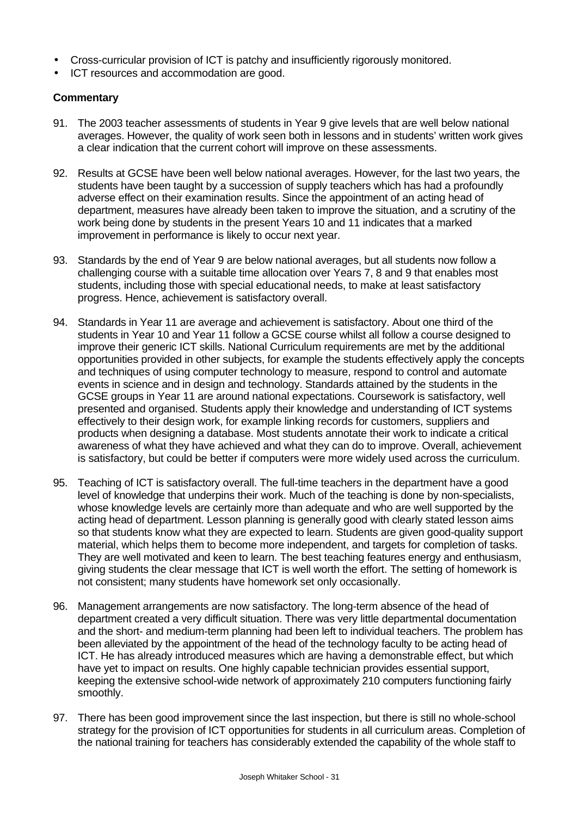- Cross-curricular provision of ICT is patchy and insufficiently rigorously monitored.
- ICT resources and accommodation are good.

- 91. The 2003 teacher assessments of students in Year 9 give levels that are well below national averages. However, the quality of work seen both in lessons and in students' written work gives a clear indication that the current cohort will improve on these assessments.
- 92. Results at GCSE have been well below national averages. However, for the last two years, the students have been taught by a succession of supply teachers which has had a profoundly adverse effect on their examination results. Since the appointment of an acting head of department, measures have already been taken to improve the situation, and a scrutiny of the work being done by students in the present Years 10 and 11 indicates that a marked improvement in performance is likely to occur next year.
- 93. Standards by the end of Year 9 are below national averages, but all students now follow a challenging course with a suitable time allocation over Years 7, 8 and 9 that enables most students, including those with special educational needs, to make at least satisfactory progress. Hence, achievement is satisfactory overall.
- 94. Standards in Year 11 are average and achievement is satisfactory. About one third of the students in Year 10 and Year 11 follow a GCSE course whilst all follow a course designed to improve their generic ICT skills. National Curriculum requirements are met by the additional opportunities provided in other subjects, for example the students effectively apply the concepts and techniques of using computer technology to measure, respond to control and automate events in science and in design and technology. Standards attained by the students in the GCSE groups in Year 11 are around national expectations. Coursework is satisfactory, well presented and organised. Students apply their knowledge and understanding of ICT systems effectively to their design work, for example linking records for customers, suppliers and products when designing a database. Most students annotate their work to indicate a critical awareness of what they have achieved and what they can do to improve. Overall, achievement is satisfactory, but could be better if computers were more widely used across the curriculum.
- 95. Teaching of ICT is satisfactory overall. The full-time teachers in the department have a good level of knowledge that underpins their work. Much of the teaching is done by non-specialists, whose knowledge levels are certainly more than adequate and who are well supported by the acting head of department. Lesson planning is generally good with clearly stated lesson aims so that students know what they are expected to learn. Students are given good-quality support material, which helps them to become more independent, and targets for completion of tasks. They are well motivated and keen to learn. The best teaching features energy and enthusiasm, giving students the clear message that ICT is well worth the effort. The setting of homework is not consistent; many students have homework set only occasionally.
- 96. Management arrangements are now satisfactory. The long-term absence of the head of department created a very difficult situation. There was very little departmental documentation and the short- and medium-term planning had been left to individual teachers. The problem has been alleviated by the appointment of the head of the technology faculty to be acting head of ICT. He has already introduced measures which are having a demonstrable effect, but which have yet to impact on results. One highly capable technician provides essential support, keeping the extensive school-wide network of approximately 210 computers functioning fairly smoothly.
- 97. There has been good improvement since the last inspection, but there is still no whole-school strategy for the provision of ICT opportunities for students in all curriculum areas. Completion of the national training for teachers has considerably extended the capability of the whole staff to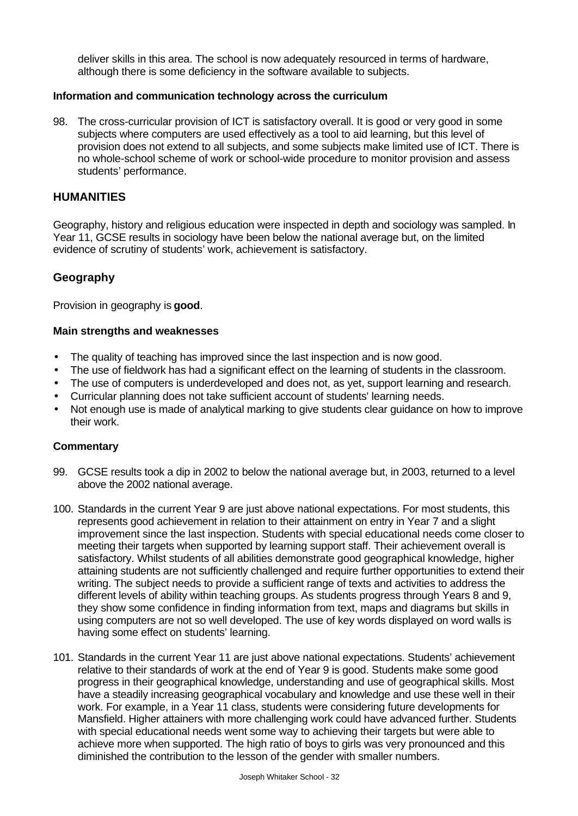deliver skills in this area. The school is now adequately resourced in terms of hardware, although there is some deficiency in the software available to subjects.

#### **Information and communication technology across the curriculum**

98. The cross-curricular provision of ICT is satisfactory overall. It is good or very good in some subjects where computers are used effectively as a tool to aid learning, but this level of provision does not extend to all subjects, and some subjects make limited use of ICT. There is no whole-school scheme of work or school-wide procedure to monitor provision and assess students' performance.

#### **HUMANITIES**

Geography, history and religious education were inspected in depth and sociology was sampled. In Year 11, GCSE results in sociology have been below the national average but, on the limited evidence of scrutiny of students' work, achievement is satisfactory.

#### **Geography**

Provision in geography is **good**.

#### **Main strengths and weaknesses**

- The quality of teaching has improved since the last inspection and is now good.
- The use of fieldwork has had a significant effect on the learning of students in the classroom.
- The use of computers is underdeveloped and does not, as yet, support learning and research.
- Curricular planning does not take sufficient account of students' learning needs.
- Not enough use is made of analytical marking to give students clear guidance on how to improve their work.

- 99. GCSE results took a dip in 2002 to below the national average but, in 2003, returned to a level above the 2002 national average.
- 100. Standards in the current Year 9 are just above national expectations. For most students, this represents good achievement in relation to their attainment on entry in Year 7 and a slight improvement since the last inspection. Students with special educational needs come closer to meeting their targets when supported by learning support staff. Their achievement overall is satisfactory. Whilst students of all abilities demonstrate good geographical knowledge, higher attaining students are not sufficiently challenged and require further opportunities to extend their writing. The subject needs to provide a sufficient range of texts and activities to address the different levels of ability within teaching groups. As students progress through Years 8 and 9, they show some confidence in finding information from text, maps and diagrams but skills in using computers are not so well developed. The use of key words displayed on word walls is having some effect on students' learning.
- 101. Standards in the current Year 11 are just above national expectations. Students' achievement relative to their standards of work at the end of Year 9 is good. Students make some good progress in their geographical knowledge, understanding and use of geographical skills. Most have a steadily increasing geographical vocabulary and knowledge and use these well in their work. For example, in a Year 11 class, students were considering future developments for Mansfield. Higher attainers with more challenging work could have advanced further. Students with special educational needs went some way to achieving their targets but were able to achieve more when supported. The high ratio of boys to girls was very pronounced and this diminished the contribution to the lesson of the gender with smaller numbers.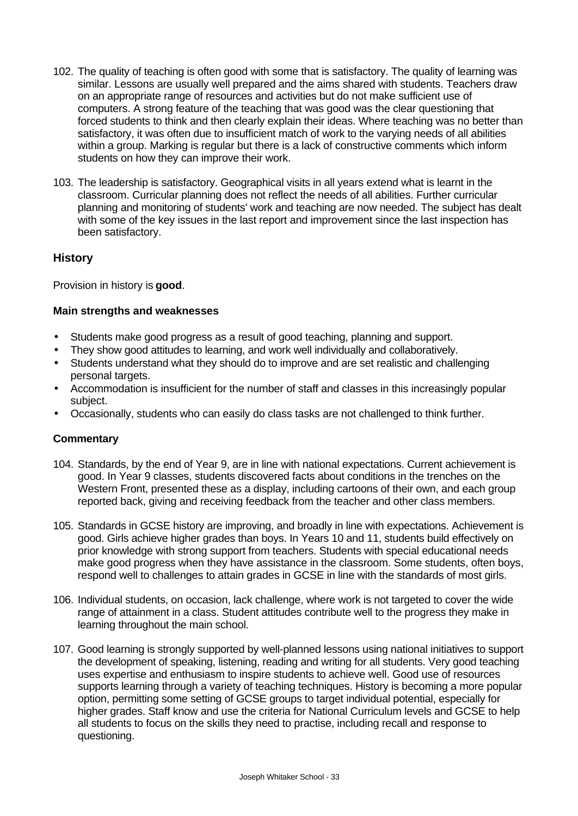- 102. The quality of teaching is often good with some that is satisfactory. The quality of learning was similar. Lessons are usually well prepared and the aims shared with students. Teachers draw on an appropriate range of resources and activities but do not make sufficient use of computers. A strong feature of the teaching that was good was the clear questioning that forced students to think and then clearly explain their ideas. Where teaching was no better than satisfactory, it was often due to insufficient match of work to the varying needs of all abilities within a group. Marking is regular but there is a lack of constructive comments which inform students on how they can improve their work.
- 103. The leadership is satisfactory. Geographical visits in all years extend what is learnt in the classroom. Curricular planning does not reflect the needs of all abilities. Further curricular planning and monitoring of students' work and teaching are now needed. The subject has dealt with some of the key issues in the last report and improvement since the last inspection has been satisfactory.

### **History**

Provision in history is **good**.

#### **Main strengths and weaknesses**

- Students make good progress as a result of good teaching, planning and support.
- They show good attitudes to learning, and work well individually and collaboratively.
- Students understand what they should do to improve and are set realistic and challenging personal targets.
- Accommodation is insufficient for the number of staff and classes in this increasingly popular subject.
- Occasionally, students who can easily do class tasks are not challenged to think further.

- 104. Standards, by the end of Year 9, are in line with national expectations. Current achievement is good. In Year 9 classes, students discovered facts about conditions in the trenches on the Western Front, presented these as a display, including cartoons of their own, and each group reported back, giving and receiving feedback from the teacher and other class members.
- 105. Standards in GCSE history are improving, and broadly in line with expectations. Achievement is good. Girls achieve higher grades than boys. In Years 10 and 11, students build effectively on prior knowledge with strong support from teachers. Students with special educational needs make good progress when they have assistance in the classroom. Some students, often boys, respond well to challenges to attain grades in GCSE in line with the standards of most girls.
- 106. Individual students, on occasion, lack challenge, where work is not targeted to cover the wide range of attainment in a class. Student attitudes contribute well to the progress they make in learning throughout the main school.
- 107. Good learning is strongly supported by well-planned lessons using national initiatives to support the development of speaking, listening, reading and writing for all students. Very good teaching uses expertise and enthusiasm to inspire students to achieve well. Good use of resources supports learning through a variety of teaching techniques. History is becoming a more popular option, permitting some setting of GCSE groups to target individual potential, especially for higher grades. Staff know and use the criteria for National Curriculum levels and GCSE to help all students to focus on the skills they need to practise, including recall and response to questioning.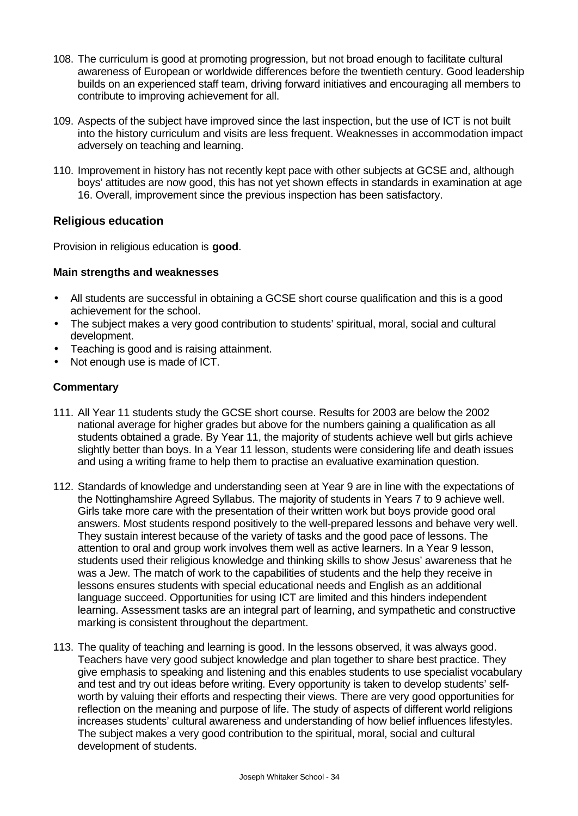- 108. The curriculum is good at promoting progression, but not broad enough to facilitate cultural awareness of European or worldwide differences before the twentieth century. Good leadership builds on an experienced staff team, driving forward initiatives and encouraging all members to contribute to improving achievement for all.
- 109. Aspects of the subject have improved since the last inspection, but the use of ICT is not built into the history curriculum and visits are less frequent. Weaknesses in accommodation impact adversely on teaching and learning.
- 110. Improvement in history has not recently kept pace with other subjects at GCSE and, although boys' attitudes are now good, this has not yet shown effects in standards in examination at age 16. Overall, improvement since the previous inspection has been satisfactory.

#### **Religious education**

Provision in religious education is **good**.

#### **Main strengths and weaknesses**

- All students are successful in obtaining a GCSE short course qualification and this is a good achievement for the school.
- The subject makes a very good contribution to students' spiritual, moral, social and cultural development.
- Teaching is good and is raising attainment.
- Not enough use is made of ICT.

- 111. All Year 11 students study the GCSE short course. Results for 2003 are below the 2002 national average for higher grades but above for the numbers gaining a qualification as all students obtained a grade. By Year 11, the majority of students achieve well but girls achieve slightly better than boys. In a Year 11 lesson, students were considering life and death issues and using a writing frame to help them to practise an evaluative examination question.
- 112. Standards of knowledge and understanding seen at Year 9 are in line with the expectations of the Nottinghamshire Agreed Syllabus. The majority of students in Years 7 to 9 achieve well. Girls take more care with the presentation of their written work but boys provide good oral answers. Most students respond positively to the well-prepared lessons and behave very well. They sustain interest because of the variety of tasks and the good pace of lessons. The attention to oral and group work involves them well as active learners. In a Year 9 lesson, students used their religious knowledge and thinking skills to show Jesus' awareness that he was a Jew. The match of work to the capabilities of students and the help they receive in lessons ensures students with special educational needs and English as an additional language succeed. Opportunities for using ICT are limited and this hinders independent learning. Assessment tasks are an integral part of learning, and sympathetic and constructive marking is consistent throughout the department.
- 113. The quality of teaching and learning is good. In the lessons observed, it was always good. Teachers have very good subject knowledge and plan together to share best practice. They give emphasis to speaking and listening and this enables students to use specialist vocabulary and test and try out ideas before writing. Every opportunity is taken to develop students' selfworth by valuing their efforts and respecting their views. There are very good opportunities for reflection on the meaning and purpose of life. The study of aspects of different world religions increases students' cultural awareness and understanding of how belief influences lifestyles. The subject makes a very good contribution to the spiritual, moral, social and cultural development of students.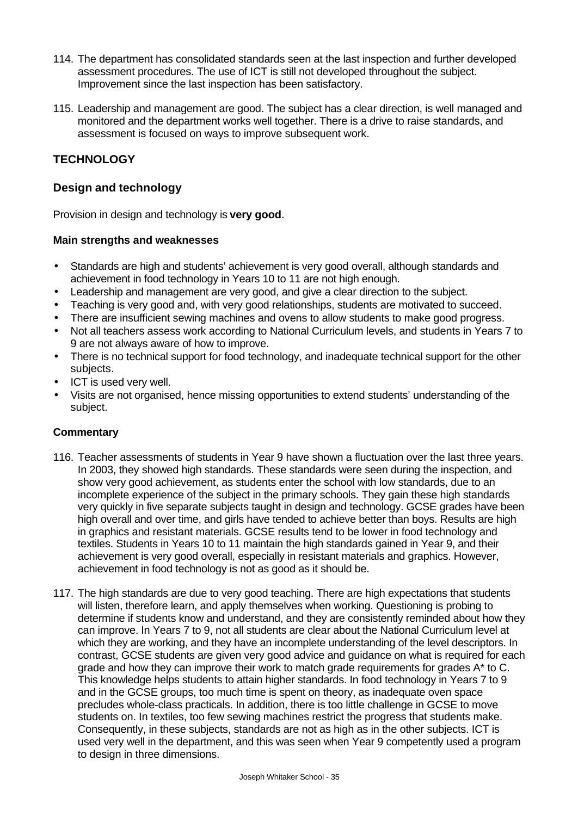- 114. The department has consolidated standards seen at the last inspection and further developed assessment procedures. The use of ICT is still not developed throughout the subject. Improvement since the last inspection has been satisfactory.
- 115. Leadership and management are good. The subject has a clear direction, is well managed and monitored and the department works well together. There is a drive to raise standards, and assessment is focused on ways to improve subsequent work.

## **TECHNOLOGY**

### **Design and technology**

Provision in design and technology is **very good**.

#### **Main strengths and weaknesses**

- Standards are high and students' achievement is very good overall, although standards and achievement in food technology in Years 10 to 11 are not high enough.
- Leadership and management are very good, and give a clear direction to the subject.
- Teaching is very good and, with very good relationships, students are motivated to succeed.
- There are insufficient sewing machines and ovens to allow students to make good progress.
- Not all teachers assess work according to National Curriculum levels, and students in Years 7 to 9 are not always aware of how to improve.
- There is no technical support for food technology, and inadequate technical support for the other subjects.
- ICT is used very well.
- Visits are not organised, hence missing opportunities to extend students' understanding of the subject.

- 116. Teacher assessments of students in Year 9 have shown a fluctuation over the last three years. In 2003, they showed high standards. These standards were seen during the inspection, and show very good achievement, as students enter the school with low standards, due to an incomplete experience of the subject in the primary schools. They gain these high standards very quickly in five separate subjects taught in design and technology. GCSE grades have been high overall and over time, and girls have tended to achieve better than boys. Results are high in graphics and resistant materials. GCSE results tend to be lower in food technology and textiles. Students in Years 10 to 11 maintain the high standards gained in Year 9, and their achievement is very good overall, especially in resistant materials and graphics. However, achievement in food technology is not as good as it should be.
- 117. The high standards are due to very good teaching. There are high expectations that students will listen, therefore learn, and apply themselves when working. Questioning is probing to determine if students know and understand, and they are consistently reminded about how they can improve. In Years 7 to 9, not all students are clear about the National Curriculum level at which they are working, and they have an incomplete understanding of the level descriptors. In contrast, GCSE students are given very good advice and guidance on what is required for each grade and how they can improve their work to match grade requirements for grades A\* to C. This knowledge helps students to attain higher standards. In food technology in Years 7 to 9 and in the GCSE groups, too much time is spent on theory, as inadequate oven space precludes whole-class practicals. In addition, there is too little challenge in GCSE to move students on. In textiles, too few sewing machines restrict the progress that students make. Consequently, in these subjects, standards are not as high as in the other subjects. ICT is used very well in the department, and this was seen when Year 9 competently used a program to design in three dimensions.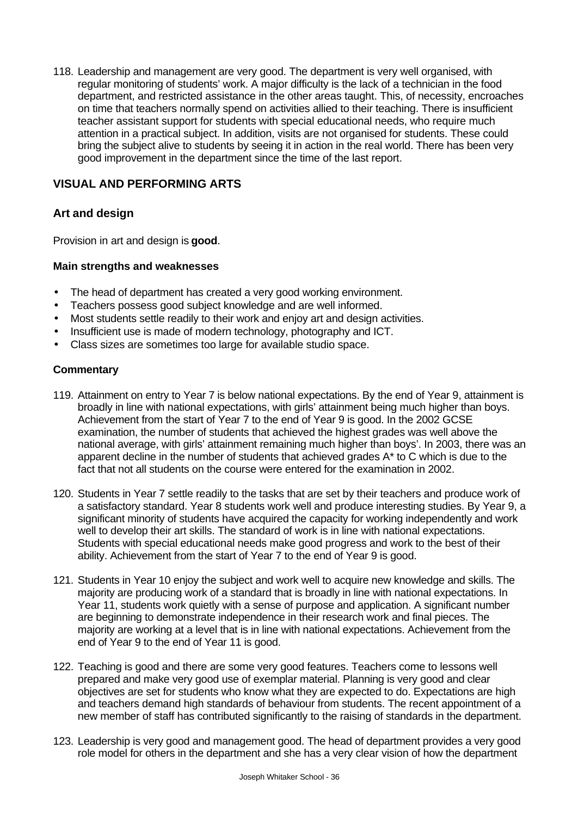118. Leadership and management are very good. The department is very well organised, with regular monitoring of students' work. A major difficulty is the lack of a technician in the food department, and restricted assistance in the other areas taught. This, of necessity, encroaches on time that teachers normally spend on activities allied to their teaching. There is insufficient teacher assistant support for students with special educational needs, who require much attention in a practical subject. In addition, visits are not organised for students. These could bring the subject alive to students by seeing it in action in the real world. There has been very good improvement in the department since the time of the last report.

## **VISUAL AND PERFORMING ARTS**

### **Art and design**

Provision in art and design is **good**.

#### **Main strengths and weaknesses**

- The head of department has created a very good working environment.
- Teachers possess good subject knowledge and are well informed.
- Most students settle readily to their work and enjoy art and design activities.
- Insufficient use is made of modern technology, photography and ICT.
- Class sizes are sometimes too large for available studio space.

- 119. Attainment on entry to Year 7 is below national expectations. By the end of Year 9, attainment is broadly in line with national expectations, with girls' attainment being much higher than boys. Achievement from the start of Year 7 to the end of Year 9 is good. In the 2002 GCSE examination, the number of students that achieved the highest grades was well above the national average, with girls' attainment remaining much higher than boys'. In 2003, there was an apparent decline in the number of students that achieved grades A\* to C which is due to the fact that not all students on the course were entered for the examination in 2002.
- 120. Students in Year 7 settle readily to the tasks that are set by their teachers and produce work of a satisfactory standard. Year 8 students work well and produce interesting studies. By Year 9, a significant minority of students have acquired the capacity for working independently and work well to develop their art skills. The standard of work is in line with national expectations. Students with special educational needs make good progress and work to the best of their ability. Achievement from the start of Year 7 to the end of Year 9 is good.
- 121. Students in Year 10 enjoy the subject and work well to acquire new knowledge and skills. The majority are producing work of a standard that is broadly in line with national expectations. In Year 11, students work quietly with a sense of purpose and application. A significant number are beginning to demonstrate independence in their research work and final pieces. The majority are working at a level that is in line with national expectations. Achievement from the end of Year 9 to the end of Year 11 is good.
- 122. Teaching is good and there are some very good features. Teachers come to lessons well prepared and make very good use of exemplar material. Planning is very good and clear objectives are set for students who know what they are expected to do. Expectations are high and teachers demand high standards of behaviour from students. The recent appointment of a new member of staff has contributed significantly to the raising of standards in the department.
- 123. Leadership is very good and management good. The head of department provides a very good role model for others in the department and she has a very clear vision of how the department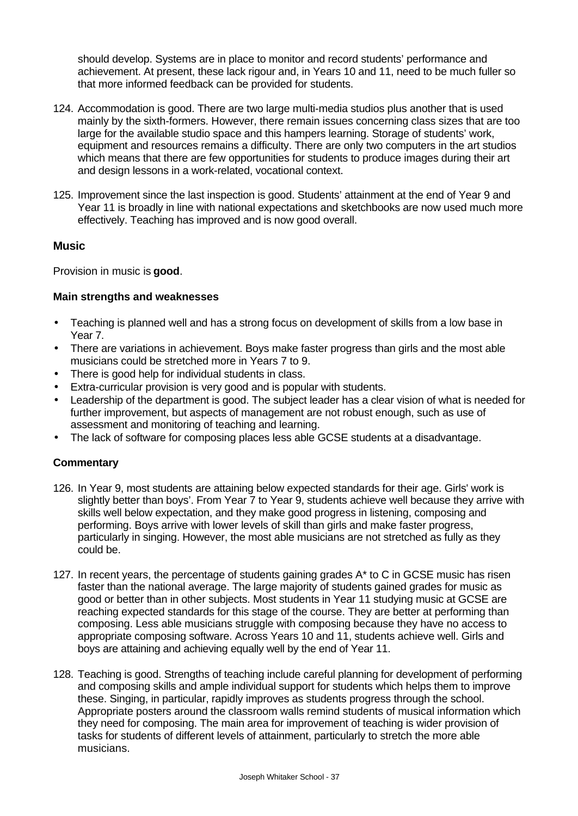should develop. Systems are in place to monitor and record students' performance and achievement. At present, these lack rigour and, in Years 10 and 11, need to be much fuller so that more informed feedback can be provided for students.

- 124. Accommodation is good. There are two large multi-media studios plus another that is used mainly by the sixth-formers. However, there remain issues concerning class sizes that are too large for the available studio space and this hampers learning. Storage of students' work, equipment and resources remains a difficulty. There are only two computers in the art studios which means that there are few opportunities for students to produce images during their art and design lessons in a work-related, vocational context.
- 125. Improvement since the last inspection is good. Students' attainment at the end of Year 9 and Year 11 is broadly in line with national expectations and sketchbooks are now used much more effectively. Teaching has improved and is now good overall.

#### **Music**

Provision in music is **good**.

#### **Main strengths and weaknesses**

- Teaching is planned well and has a strong focus on development of skills from a low base in Year 7.
- There are variations in achievement. Boys make faster progress than girls and the most able musicians could be stretched more in Years 7 to 9.
- There is good help for individual students in class.
- Extra-curricular provision is very good and is popular with students.
- Leadership of the department is good. The subject leader has a clear vision of what is needed for further improvement, but aspects of management are not robust enough, such as use of assessment and monitoring of teaching and learning.
- The lack of software for composing places less able GCSE students at a disadvantage.

- 126. In Year 9, most students are attaining below expected standards for their age. Girls' work is slightly better than boys'. From Year 7 to Year 9, students achieve well because they arrive with skills well below expectation, and they make good progress in listening, composing and performing. Boys arrive with lower levels of skill than girls and make faster progress, particularly in singing. However, the most able musicians are not stretched as fully as they could be.
- 127. In recent years, the percentage of students gaining grades A\* to C in GCSE music has risen faster than the national average. The large majority of students gained grades for music as good or better than in other subjects. Most students in Year 11 studying music at GCSE are reaching expected standards for this stage of the course. They are better at performing than composing. Less able musicians struggle with composing because they have no access to appropriate composing software. Across Years 10 and 11, students achieve well. Girls and boys are attaining and achieving equally well by the end of Year 11.
- 128. Teaching is good. Strengths of teaching include careful planning for development of performing and composing skills and ample individual support for students which helps them to improve these. Singing, in particular, rapidly improves as students progress through the school. Appropriate posters around the classroom walls remind students of musical information which they need for composing. The main area for improvement of teaching is wider provision of tasks for students of different levels of attainment, particularly to stretch the more able musicians.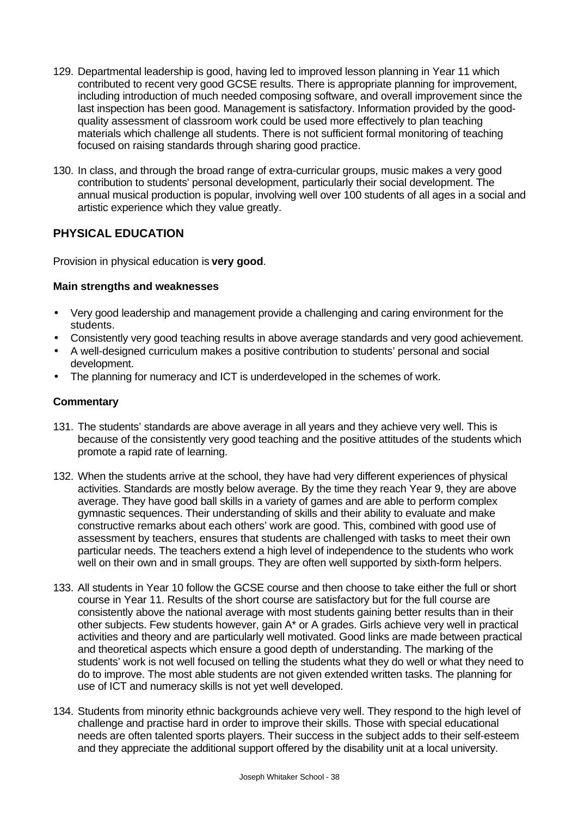- 129. Departmental leadership is good, having led to improved lesson planning in Year 11 which contributed to recent very good GCSE results. There is appropriate planning for improvement, including introduction of much needed composing software, and overall improvement since the last inspection has been good. Management is satisfactory. Information provided by the goodquality assessment of classroom work could be used more effectively to plan teaching materials which challenge all students. There is not sufficient formal monitoring of teaching focused on raising standards through sharing good practice.
- 130. In class, and through the broad range of extra-curricular groups, music makes a very good contribution to students' personal development, particularly their social development. The annual musical production is popular, involving well over 100 students of all ages in a social and artistic experience which they value greatly.

## **PHYSICAL EDUCATION**

Provision in physical education is **very good**.

#### **Main strengths and weaknesses**

- Very good leadership and management provide a challenging and caring environment for the students.
- Consistently very good teaching results in above average standards and very good achievement.
- A well-designed curriculum makes a positive contribution to students' personal and social development.
- The planning for numeracy and ICT is underdeveloped in the schemes of work.

- 131. The students' standards are above average in all years and they achieve very well. This is because of the consistently very good teaching and the positive attitudes of the students which promote a rapid rate of learning.
- 132. When the students arrive at the school, they have had very different experiences of physical activities. Standards are mostly below average. By the time they reach Year 9, they are above average. They have good ball skills in a variety of games and are able to perform complex gymnastic sequences. Their understanding of skills and their ability to evaluate and make constructive remarks about each others' work are good. This, combined with good use of assessment by teachers, ensures that students are challenged with tasks to meet their own particular needs. The teachers extend a high level of independence to the students who work well on their own and in small groups. They are often well supported by sixth-form helpers.
- 133. All students in Year 10 follow the GCSE course and then choose to take either the full or short course in Year 11. Results of the short course are satisfactory but for the full course are consistently above the national average with most students gaining better results than in their other subjects. Few students however, gain A\* or A grades. Girls achieve very well in practical activities and theory and are particularly well motivated. Good links are made between practical and theoretical aspects which ensure a good depth of understanding. The marking of the students' work is not well focused on telling the students what they do well or what they need to do to improve. The most able students are not given extended written tasks. The planning for use of ICT and numeracy skills is not yet well developed.
- 134. Students from minority ethnic backgrounds achieve very well. They respond to the high level of challenge and practise hard in order to improve their skills. Those with special educational needs are often talented sports players. Their success in the subject adds to their self-esteem and they appreciate the additional support offered by the disability unit at a local university.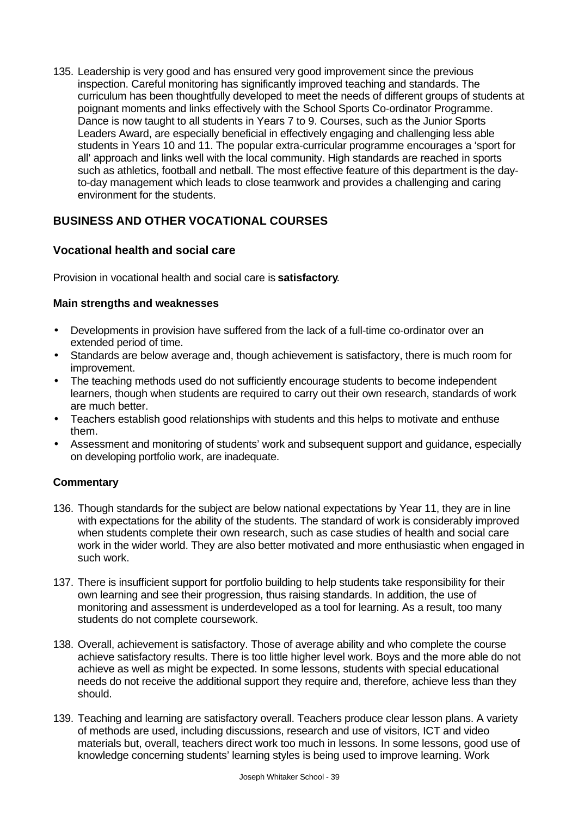135. Leadership is very good and has ensured very good improvement since the previous inspection. Careful monitoring has significantly improved teaching and standards. The curriculum has been thoughtfully developed to meet the needs of different groups of students at poignant moments and links effectively with the School Sports Co-ordinator Programme. Dance is now taught to all students in Years 7 to 9. Courses, such as the Junior Sports Leaders Award, are especially beneficial in effectively engaging and challenging less able students in Years 10 and 11. The popular extra-curricular programme encourages a 'sport for all' approach and links well with the local community. High standards are reached in sports such as athletics, football and netball. The most effective feature of this department is the dayto-day management which leads to close teamwork and provides a challenging and caring environment for the students.

## **BUSINESS AND OTHER VOCATIONAL COURSES**

## **Vocational health and social care**

Provision in vocational health and social care is **satisfactory**.

#### **Main strengths and weaknesses**

- Developments in provision have suffered from the lack of a full-time co-ordinator over an extended period of time.
- Standards are below average and, though achievement is satisfactory, there is much room for improvement.
- The teaching methods used do not sufficiently encourage students to become independent learners, though when students are required to carry out their own research, standards of work are much better.
- Teachers establish good relationships with students and this helps to motivate and enthuse them.
- Assessment and monitoring of students' work and subsequent support and guidance, especially on developing portfolio work, are inadequate.

- 136. Though standards for the subject are below national expectations by Year 11, they are in line with expectations for the ability of the students. The standard of work is considerably improved when students complete their own research, such as case studies of health and social care work in the wider world. They are also better motivated and more enthusiastic when engaged in such work.
- 137. There is insufficient support for portfolio building to help students take responsibility for their own learning and see their progression, thus raising standards. In addition, the use of monitoring and assessment is underdeveloped as a tool for learning. As a result, too many students do not complete coursework.
- 138. Overall, achievement is satisfactory. Those of average ability and who complete the course achieve satisfactory results. There is too little higher level work. Boys and the more able do not achieve as well as might be expected. In some lessons, students with special educational needs do not receive the additional support they require and, therefore, achieve less than they should.
- 139. Teaching and learning are satisfactory overall. Teachers produce clear lesson plans. A variety of methods are used, including discussions, research and use of visitors, ICT and video materials but, overall, teachers direct work too much in lessons. In some lessons, good use of knowledge concerning students' learning styles is being used to improve learning. Work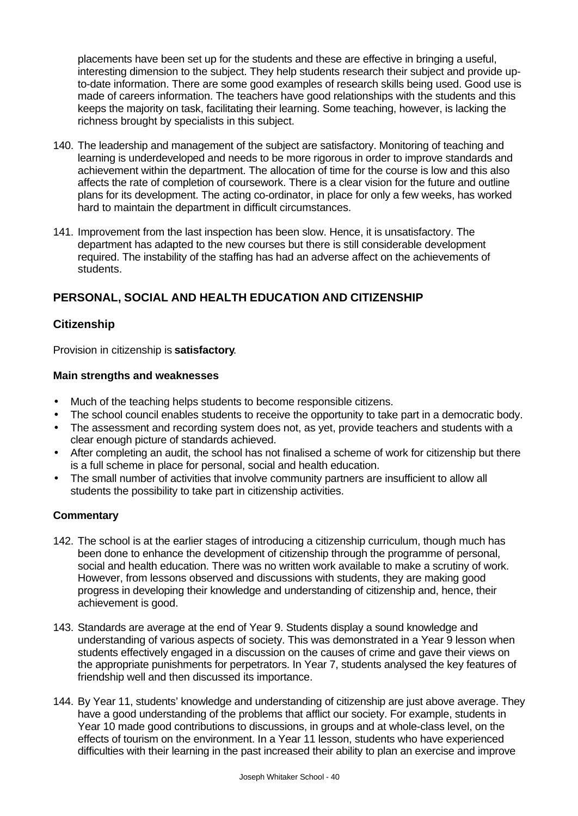placements have been set up for the students and these are effective in bringing a useful, interesting dimension to the subject. They help students research their subject and provide upto-date information. There are some good examples of research skills being used. Good use is made of careers information. The teachers have good relationships with the students and this keeps the majority on task, facilitating their learning. Some teaching, however, is lacking the richness brought by specialists in this subject.

- 140. The leadership and management of the subject are satisfactory. Monitoring of teaching and learning is underdeveloped and needs to be more rigorous in order to improve standards and achievement within the department. The allocation of time for the course is low and this also affects the rate of completion of coursework. There is a clear vision for the future and outline plans for its development. The acting co-ordinator, in place for only a few weeks, has worked hard to maintain the department in difficult circumstances.
- 141. Improvement from the last inspection has been slow. Hence, it is unsatisfactory. The department has adapted to the new courses but there is still considerable development required. The instability of the staffing has had an adverse affect on the achievements of students.

## **PERSONAL, SOCIAL AND HEALTH EDUCATION AND CITIZENSHIP**

### **Citizenship**

Provision in citizenship is **satisfactory**.

#### **Main strengths and weaknesses**

- Much of the teaching helps students to become responsible citizens.
- The school council enables students to receive the opportunity to take part in a democratic body.
- The assessment and recording system does not, as yet, provide teachers and students with a clear enough picture of standards achieved.
- After completing an audit, the school has not finalised a scheme of work for citizenship but there is a full scheme in place for personal, social and health education.
- The small number of activities that involve community partners are insufficient to allow all students the possibility to take part in citizenship activities.

- 142. The school is at the earlier stages of introducing a citizenship curriculum, though much has been done to enhance the development of citizenship through the programme of personal, social and health education. There was no written work available to make a scrutiny of work. However, from lessons observed and discussions with students, they are making good progress in developing their knowledge and understanding of citizenship and, hence, their achievement is good.
- 143. Standards are average at the end of Year 9. Students display a sound knowledge and understanding of various aspects of society. This was demonstrated in a Year 9 lesson when students effectively engaged in a discussion on the causes of crime and gave their views on the appropriate punishments for perpetrators. In Year 7, students analysed the key features of friendship well and then discussed its importance.
- 144. By Year 11, students' knowledge and understanding of citizenship are just above average. They have a good understanding of the problems that afflict our society. For example, students in Year 10 made good contributions to discussions, in groups and at whole-class level, on the effects of tourism on the environment. In a Year 11 lesson, students who have experienced difficulties with their learning in the past increased their ability to plan an exercise and improve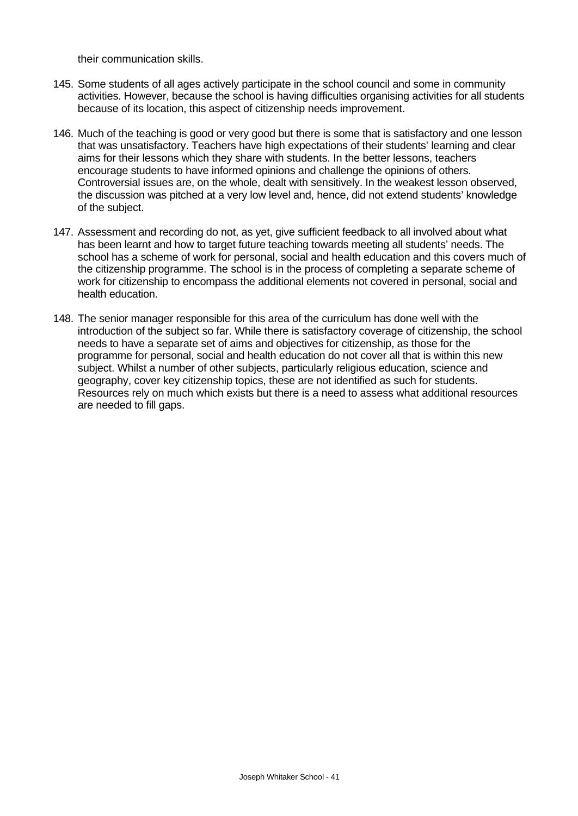their communication skills.

- 145. Some students of all ages actively participate in the school council and some in community activities. However, because the school is having difficulties organising activities for all students because of its location, this aspect of citizenship needs improvement.
- 146. Much of the teaching is good or very good but there is some that is satisfactory and one lesson that was unsatisfactory. Teachers have high expectations of their students' learning and clear aims for their lessons which they share with students. In the better lessons, teachers encourage students to have informed opinions and challenge the opinions of others. Controversial issues are, on the whole, dealt with sensitively. In the weakest lesson observed, the discussion was pitched at a very low level and, hence, did not extend students' knowledge of the subject.
- 147. Assessment and recording do not, as yet, give sufficient feedback to all involved about what has been learnt and how to target future teaching towards meeting all students' needs. The school has a scheme of work for personal, social and health education and this covers much of the citizenship programme. The school is in the process of completing a separate scheme of work for citizenship to encompass the additional elements not covered in personal, social and health education.
- 148. The senior manager responsible for this area of the curriculum has done well with the introduction of the subject so far. While there is satisfactory coverage of citizenship, the school needs to have a separate set of aims and objectives for citizenship, as those for the programme for personal, social and health education do not cover all that is within this new subject. Whilst a number of other subjects, particularly religious education, science and geography, cover key citizenship topics, these are not identified as such for students. Resources rely on much which exists but there is a need to assess what additional resources are needed to fill gaps.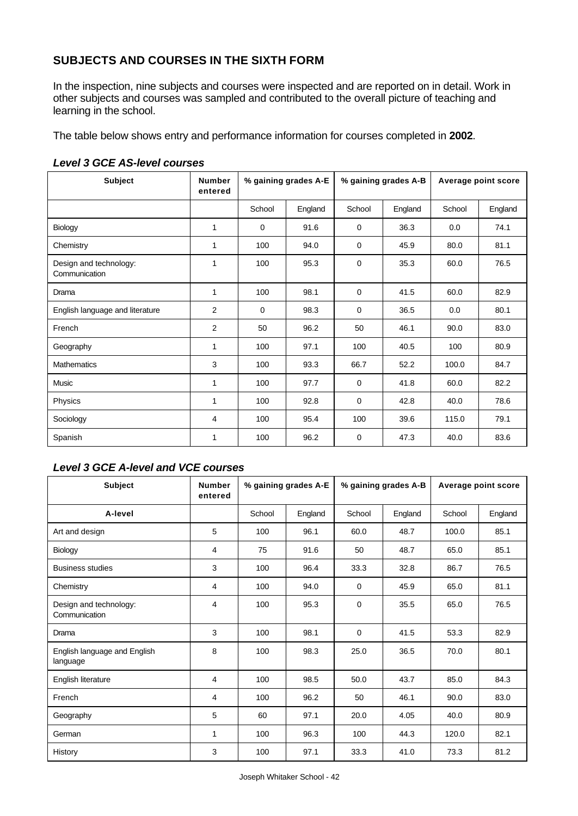## **SUBJECTS AND COURSES IN THE SIXTH FORM**

In the inspection, nine subjects and courses were inspected and are reported on in detail. Work in other subjects and courses was sampled and contributed to the overall picture of teaching and learning in the school.

The table below shows entry and performance information for courses completed in **2002**.

| <b>Subject</b>                          | <b>Number</b><br>entered | % gaining grades A-E |         | % gaining grades A-B |         | Average point score |         |
|-----------------------------------------|--------------------------|----------------------|---------|----------------------|---------|---------------------|---------|
|                                         |                          | School               | England | School               | England | School              | England |
| Biology                                 | $\mathbf 1$              | $\mathbf 0$          | 91.6    | 0                    | 36.3    | 0.0                 | 74.1    |
| Chemistry                               | 1                        | 100                  | 94.0    | 0                    | 45.9    | 80.0                | 81.1    |
| Design and technology:<br>Communication | 1                        | 100                  | 95.3    | $\mathbf 0$          | 35.3    | 60.0                | 76.5    |
| Drama                                   | $\mathbf{1}$             | 100                  | 98.1    | $\mathbf 0$          | 41.5    | 60.0                | 82.9    |
| English language and literature         | 2                        | $\mathbf 0$          | 98.3    | 0                    | 36.5    | 0.0                 | 80.1    |
| French                                  | 2                        | 50                   | 96.2    | 50                   | 46.1    | 90.0                | 83.0    |
| Geography                               | $\mathbf 1$              | 100                  | 97.1    | 100                  | 40.5    | 100                 | 80.9    |
| <b>Mathematics</b>                      | 3                        | 100                  | 93.3    | 66.7                 | 52.2    | 100.0               | 84.7    |
| Music                                   | 1                        | 100                  | 97.7    | 0                    | 41.8    | 60.0                | 82.2    |
| Physics                                 | $\mathbf{1}$             | 100                  | 92.8    | $\mathbf 0$          | 42.8    | 40.0                | 78.6    |
| Sociology                               | 4                        | 100                  | 95.4    | 100                  | 39.6    | 115.0               | 79.1    |
| Spanish                                 | 1                        | 100                  | 96.2    | 0                    | 47.3    | 40.0                | 83.6    |

#### *Level 3 GCE AS-level courses*

## *Level 3 GCE A-level and VCE courses*

| <b>Subject</b>                           | <b>Number</b><br>entered | % gaining grades A-E |         | % gaining grades A-B |         | Average point score |         |
|------------------------------------------|--------------------------|----------------------|---------|----------------------|---------|---------------------|---------|
| A-level                                  |                          | School               | England | School               | England | School              | England |
| Art and design                           | 5                        | 100                  | 96.1    | 60.0                 | 48.7    | 100.0               | 85.1    |
| Biology                                  | 4                        | 75                   | 91.6    | 50                   | 48.7    | 65.0                | 85.1    |
| <b>Business studies</b>                  | 3                        | 100                  | 96.4    | 33.3                 | 32.8    | 86.7                | 76.5    |
| Chemistry                                | 4                        | 100                  | 94.0    | $\mathbf 0$          | 45.9    | 65.0                | 81.1    |
| Design and technology:<br>Communication  | $\overline{4}$           | 100                  | 95.3    | $\mathbf 0$          | 35.5    | 65.0                | 76.5    |
| Drama                                    | 3                        | 100                  | 98.1    | $\mathbf 0$          | 41.5    | 53.3                | 82.9    |
| English language and English<br>language | 8                        | 100                  | 98.3    | 25.0                 | 36.5    | 70.0                | 80.1    |
| English literature                       | 4                        | 100                  | 98.5    | 50.0                 | 43.7    | 85.0                | 84.3    |
| French                                   | 4                        | 100                  | 96.2    | 50                   | 46.1    | 90.0                | 83.0    |
| Geography                                | 5                        | 60                   | 97.1    | 20.0                 | 4.05    | 40.0                | 80.9    |
| German                                   | 1                        | 100                  | 96.3    | 100                  | 44.3    | 120.0               | 82.1    |
| History                                  | 3                        | 100                  | 97.1    | 33.3                 | 41.0    | 73.3                | 81.2    |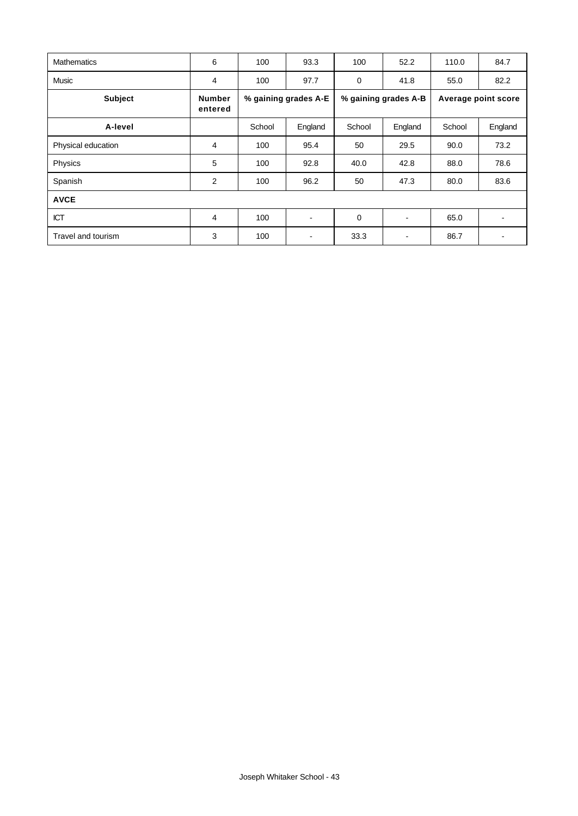| <b>Mathematics</b> | 6                        | 100                  | 93.3    | 100                  | 52.2    | 110.0               | 84.7    |
|--------------------|--------------------------|----------------------|---------|----------------------|---------|---------------------|---------|
| <b>Music</b>       | $\overline{4}$           | 100                  | 97.7    | $\mathbf 0$          | 41.8    | 55.0                | 82.2    |
| <b>Subject</b>     | <b>Number</b><br>entered | % gaining grades A-E |         | % gaining grades A-B |         | Average point score |         |
| A-level            |                          | School               | England | School               | England | School              | England |
| Physical education | 4                        | 100                  | 95.4    | 50                   | 29.5    | 90.0                | 73.2    |
| Physics            | 5                        | 100                  | 92.8    | 40.0                 | 42.8    | 88.0                | 78.6    |
| Spanish            | 2                        | 100                  | 96.2    | 50                   | 47.3    | 80.0                | 83.6    |
| <b>AVCE</b>        |                          |                      |         |                      |         |                     |         |
| <b>ICT</b>         | 4                        | 100                  |         | 0                    | -       | 65.0                |         |
| Travel and tourism | 3                        | 100                  |         | 33.3                 | -       | 86.7                |         |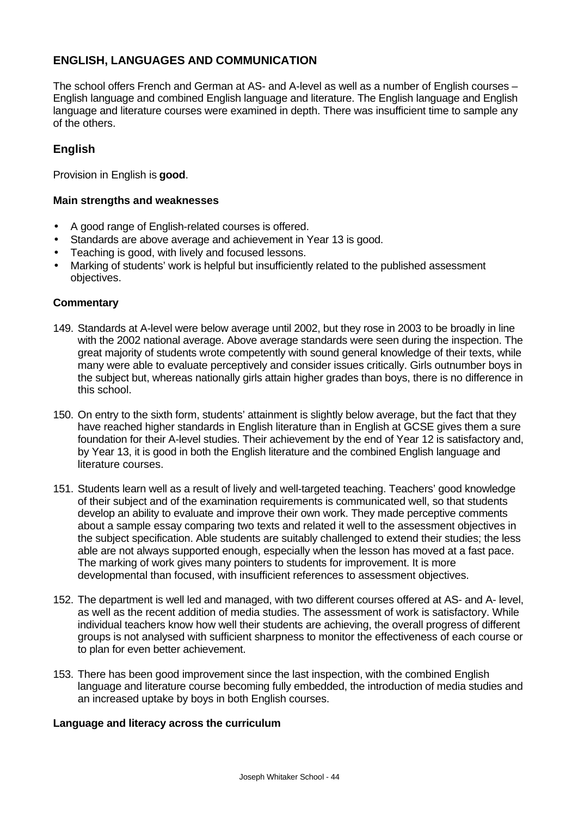## **ENGLISH, LANGUAGES AND COMMUNICATION**

The school offers French and German at AS- and A-level as well as a number of English courses – English language and combined English language and literature. The English language and English language and literature courses were examined in depth. There was insufficient time to sample any of the others.

### **English**

Provision in English is **good**.

#### **Main strengths and weaknesses**

- A good range of English-related courses is offered.
- Standards are above average and achievement in Year 13 is good.
- Teaching is good, with lively and focused lessons.
- Marking of students' work is helpful but insufficiently related to the published assessment objectives.

#### **Commentary**

- 149. Standards at A-level were below average until 2002, but they rose in 2003 to be broadly in line with the 2002 national average. Above average standards were seen during the inspection. The great majority of students wrote competently with sound general knowledge of their texts, while many were able to evaluate perceptively and consider issues critically. Girls outnumber boys in the subject but, whereas nationally girls attain higher grades than boys, there is no difference in this school.
- 150. On entry to the sixth form, students' attainment is slightly below average, but the fact that they have reached higher standards in English literature than in English at GCSE gives them a sure foundation for their A-level studies. Their achievement by the end of Year 12 is satisfactory and, by Year 13, it is good in both the English literature and the combined English language and literature courses.
- 151. Students learn well as a result of lively and well-targeted teaching. Teachers' good knowledge of their subject and of the examination requirements is communicated well, so that students develop an ability to evaluate and improve their own work. They made perceptive comments about a sample essay comparing two texts and related it well to the assessment objectives in the subject specification. Able students are suitably challenged to extend their studies; the less able are not always supported enough, especially when the lesson has moved at a fast pace. The marking of work gives many pointers to students for improvement. It is more developmental than focused, with insufficient references to assessment objectives.
- 152. The department is well led and managed, with two different courses offered at AS- and A- level, as well as the recent addition of media studies. The assessment of work is satisfactory. While individual teachers know how well their students are achieving, the overall progress of different groups is not analysed with sufficient sharpness to monitor the effectiveness of each course or to plan for even better achievement.
- 153. There has been good improvement since the last inspection, with the combined English language and literature course becoming fully embedded, the introduction of media studies and an increased uptake by boys in both English courses.

#### **Language and literacy across the curriculum**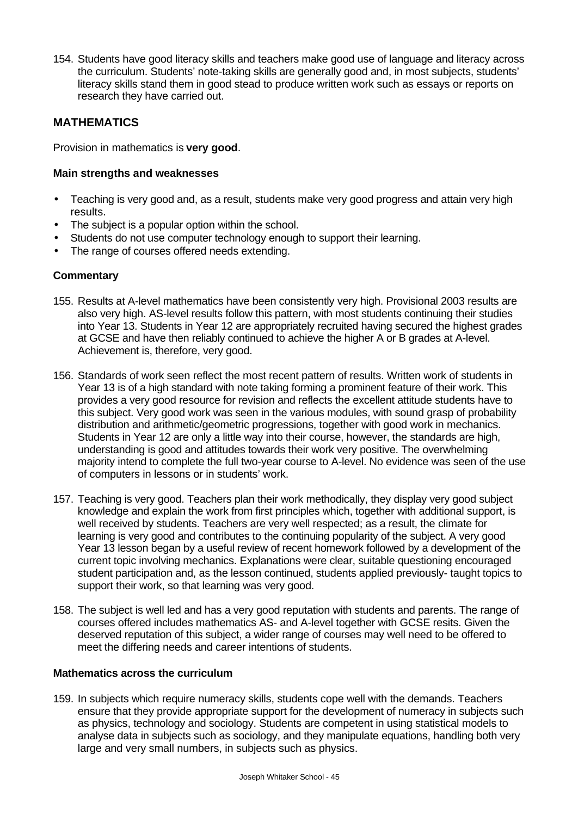154. Students have good literacy skills and teachers make good use of language and literacy across the curriculum. Students' note-taking skills are generally good and, in most subjects, students' literacy skills stand them in good stead to produce written work such as essays or reports on research they have carried out.

### **MATHEMATICS**

Provision in mathematics is **very good**.

#### **Main strengths and weaknesses**

- Teaching is very good and, as a result, students make very good progress and attain very high results.
- The subject is a popular option within the school.
- Students do not use computer technology enough to support their learning.
- The range of courses offered needs extending.

#### **Commentary**

- 155. Results at A-level mathematics have been consistently very high. Provisional 2003 results are also very high. AS-level results follow this pattern, with most students continuing their studies into Year 13. Students in Year 12 are appropriately recruited having secured the highest grades at GCSE and have then reliably continued to achieve the higher A or B grades at A-level. Achievement is, therefore, very good.
- 156. Standards of work seen reflect the most recent pattern of results. Written work of students in Year 13 is of a high standard with note taking forming a prominent feature of their work. This provides a very good resource for revision and reflects the excellent attitude students have to this subject. Very good work was seen in the various modules, with sound grasp of probability distribution and arithmetic/geometric progressions, together with good work in mechanics. Students in Year 12 are only a little way into their course, however, the standards are high, understanding is good and attitudes towards their work very positive. The overwhelming majority intend to complete the full two-year course to A-level. No evidence was seen of the use of computers in lessons or in students' work.
- 157. Teaching is very good. Teachers plan their work methodically, they display very good subject knowledge and explain the work from first principles which, together with additional support, is well received by students. Teachers are very well respected; as a result, the climate for learning is very good and contributes to the continuing popularity of the subject. A very good Year 13 lesson began by a useful review of recent homework followed by a development of the current topic involving mechanics. Explanations were clear, suitable questioning encouraged student participation and, as the lesson continued, students applied previously- taught topics to support their work, so that learning was very good.
- 158. The subject is well led and has a very good reputation with students and parents. The range of courses offered includes mathematics AS- and A-level together with GCSE resits. Given the deserved reputation of this subject, a wider range of courses may well need to be offered to meet the differing needs and career intentions of students.

#### **Mathematics across the curriculum**

159. In subjects which require numeracy skills, students cope well with the demands. Teachers ensure that they provide appropriate support for the development of numeracy in subjects such as physics, technology and sociology. Students are competent in using statistical models to analyse data in subjects such as sociology, and they manipulate equations, handling both very large and very small numbers, in subjects such as physics.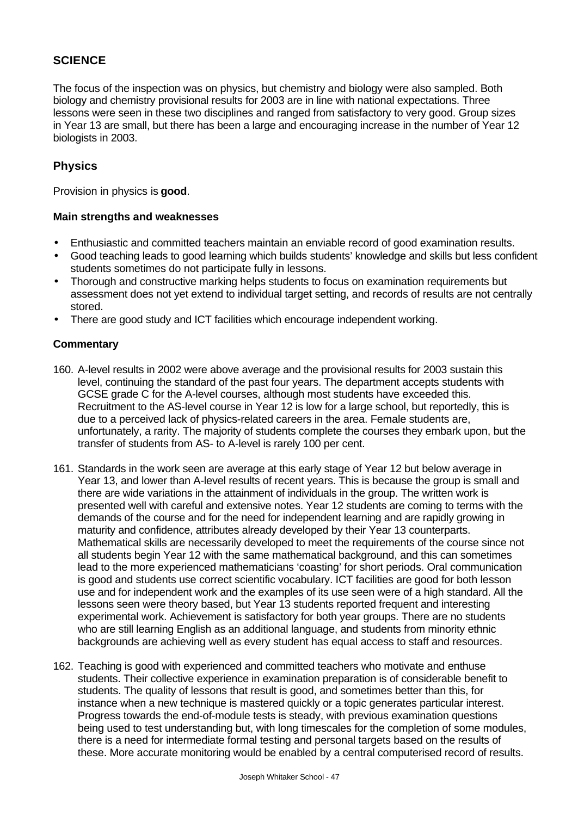## **SCIENCE**

The focus of the inspection was on physics, but chemistry and biology were also sampled. Both biology and chemistry provisional results for 2003 are in line with national expectations. Three lessons were seen in these two disciplines and ranged from satisfactory to very good. Group sizes in Year 13 are small, but there has been a large and encouraging increase in the number of Year 12 biologists in 2003.

### **Physics**

Provision in physics is **good**.

#### **Main strengths and weaknesses**

- Enthusiastic and committed teachers maintain an enviable record of good examination results.
- Good teaching leads to good learning which builds students' knowledge and skills but less confident students sometimes do not participate fully in lessons.
- Thorough and constructive marking helps students to focus on examination requirements but assessment does not yet extend to individual target setting, and records of results are not centrally stored.
- There are good study and ICT facilities which encourage independent working.

- 160. A-level results in 2002 were above average and the provisional results for 2003 sustain this level, continuing the standard of the past four years. The department accepts students with GCSE grade C for the A-level courses, although most students have exceeded this. Recruitment to the AS-level course in Year 12 is low for a large school, but reportedly, this is due to a perceived lack of physics-related careers in the area. Female students are, unfortunately, a rarity. The majority of students complete the courses they embark upon, but the transfer of students from AS- to A-level is rarely 100 per cent.
- 161. Standards in the work seen are average at this early stage of Year 12 but below average in Year 13, and lower than A-level results of recent years. This is because the group is small and there are wide variations in the attainment of individuals in the group. The written work is presented well with careful and extensive notes. Year 12 students are coming to terms with the demands of the course and for the need for independent learning and are rapidly growing in maturity and confidence, attributes already developed by their Year 13 counterparts. Mathematical skills are necessarily developed to meet the requirements of the course since not all students begin Year 12 with the same mathematical background, and this can sometimes lead to the more experienced mathematicians 'coasting' for short periods. Oral communication is good and students use correct scientific vocabulary. ICT facilities are good for both lesson use and for independent work and the examples of its use seen were of a high standard. All the lessons seen were theory based, but Year 13 students reported frequent and interesting experimental work. Achievement is satisfactory for both year groups. There are no students who are still learning English as an additional language, and students from minority ethnic backgrounds are achieving well as every student has equal access to staff and resources.
- 162. Teaching is good with experienced and committed teachers who motivate and enthuse students. Their collective experience in examination preparation is of considerable benefit to students. The quality of lessons that result is good, and sometimes better than this, for instance when a new technique is mastered quickly or a topic generates particular interest. Progress towards the end-of-module tests is steady, with previous examination questions being used to test understanding but, with long timescales for the completion of some modules, there is a need for intermediate formal testing and personal targets based on the results of these. More accurate monitoring would be enabled by a central computerised record of results.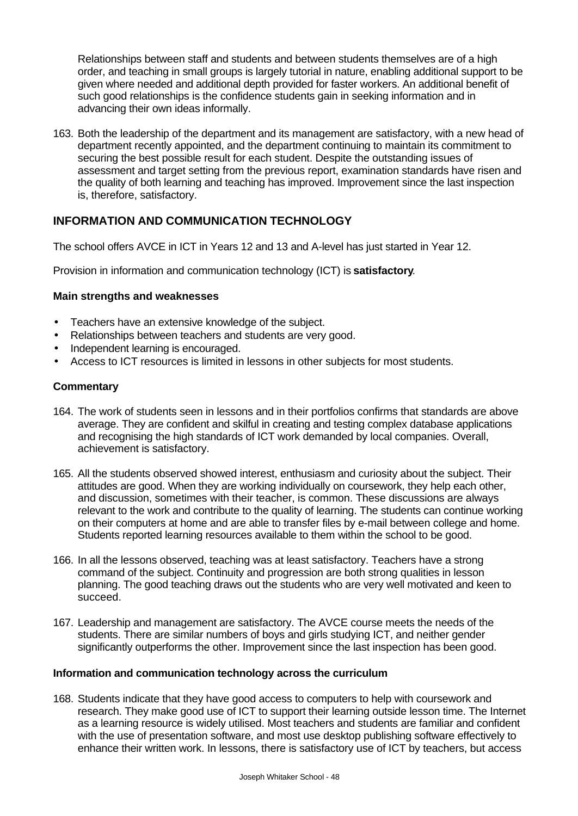Relationships between staff and students and between students themselves are of a high order, and teaching in small groups is largely tutorial in nature, enabling additional support to be given where needed and additional depth provided for faster workers. An additional benefit of such good relationships is the confidence students gain in seeking information and in advancing their own ideas informally.

163. Both the leadership of the department and its management are satisfactory, with a new head of department recently appointed, and the department continuing to maintain its commitment to securing the best possible result for each student. Despite the outstanding issues of assessment and target setting from the previous report, examination standards have risen and the quality of both learning and teaching has improved. Improvement since the last inspection is, therefore, satisfactory.

## **INFORMATION AND COMMUNICATION TECHNOLOGY**

The school offers AVCE in ICT in Years 12 and 13 and A-level has just started in Year 12.

Provision in information and communication technology (ICT) is **satisfactory**.

#### **Main strengths and weaknesses**

- Teachers have an extensive knowledge of the subject.
- Relationships between teachers and students are very good.
- Independent learning is encouraged.
- Access to ICT resources is limited in lessons in other subjects for most students.

#### **Commentary**

- 164. The work of students seen in lessons and in their portfolios confirms that standards are above average. They are confident and skilful in creating and testing complex database applications and recognising the high standards of ICT work demanded by local companies. Overall, achievement is satisfactory.
- 165. All the students observed showed interest, enthusiasm and curiosity about the subject. Their attitudes are good. When they are working individually on coursework, they help each other, and discussion, sometimes with their teacher, is common. These discussions are always relevant to the work and contribute to the quality of learning. The students can continue working on their computers at home and are able to transfer files by e-mail between college and home. Students reported learning resources available to them within the school to be good.
- 166. In all the lessons observed, teaching was at least satisfactory. Teachers have a strong command of the subject. Continuity and progression are both strong qualities in lesson planning. The good teaching draws out the students who are very well motivated and keen to succeed.
- 167. Leadership and management are satisfactory. The AVCE course meets the needs of the students. There are similar numbers of boys and girls studying ICT, and neither gender significantly outperforms the other. Improvement since the last inspection has been good.

#### **Information and communication technology across the curriculum**

168. Students indicate that they have good access to computers to help with coursework and research. They make good use of ICT to support their learning outside lesson time. The Internet as a learning resource is widely utilised. Most teachers and students are familiar and confident with the use of presentation software, and most use desktop publishing software effectively to enhance their written work. In lessons, there is satisfactory use of ICT by teachers, but access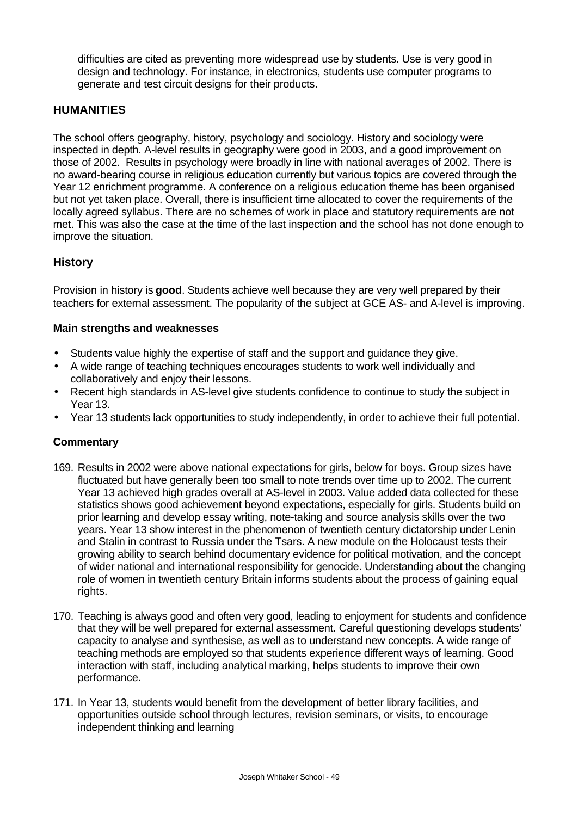difficulties are cited as preventing more widespread use by students. Use is very good in design and technology. For instance, in electronics, students use computer programs to generate and test circuit designs for their products.

### **HUMANITIES**

The school offers geography, history, psychology and sociology. History and sociology were inspected in depth. A-level results in geography were good in 2003, and a good improvement on those of 2002. Results in psychology were broadly in line with national averages of 2002. There is no award-bearing course in religious education currently but various topics are covered through the Year 12 enrichment programme. A conference on a religious education theme has been organised but not yet taken place. Overall, there is insufficient time allocated to cover the requirements of the locally agreed syllabus. There are no schemes of work in place and statutory requirements are not met. This was also the case at the time of the last inspection and the school has not done enough to improve the situation.

#### **History**

Provision in history is **good**. Students achieve well because they are very well prepared by their teachers for external assessment. The popularity of the subject at GCE AS- and A-level is improving.

#### **Main strengths and weaknesses**

- Students value highly the expertise of staff and the support and guidance they give.
- A wide range of teaching techniques encourages students to work well individually and collaboratively and enjoy their lessons.
- Recent high standards in AS-level give students confidence to continue to study the subject in Year 13.
- Year 13 students lack opportunities to study independently, in order to achieve their full potential.

- 169. Results in 2002 were above national expectations for girls, below for boys. Group sizes have fluctuated but have generally been too small to note trends over time up to 2002. The current Year 13 achieved high grades overall at AS-level in 2003. Value added data collected for these statistics shows good achievement beyond expectations, especially for girls. Students build on prior learning and develop essay writing, note-taking and source analysis skills over the two years. Year 13 show interest in the phenomenon of twentieth century dictatorship under Lenin and Stalin in contrast to Russia under the Tsars. A new module on the Holocaust tests their growing ability to search behind documentary evidence for political motivation, and the concept of wider national and international responsibility for genocide. Understanding about the changing role of women in twentieth century Britain informs students about the process of gaining equal rights.
- 170. Teaching is always good and often very good, leading to enjoyment for students and confidence that they will be well prepared for external assessment. Careful questioning develops students' capacity to analyse and synthesise, as well as to understand new concepts. A wide range of teaching methods are employed so that students experience different ways of learning. Good interaction with staff, including analytical marking, helps students to improve their own performance.
- 171. In Year 13, students would benefit from the development of better library facilities, and opportunities outside school through lectures, revision seminars, or visits, to encourage independent thinking and learning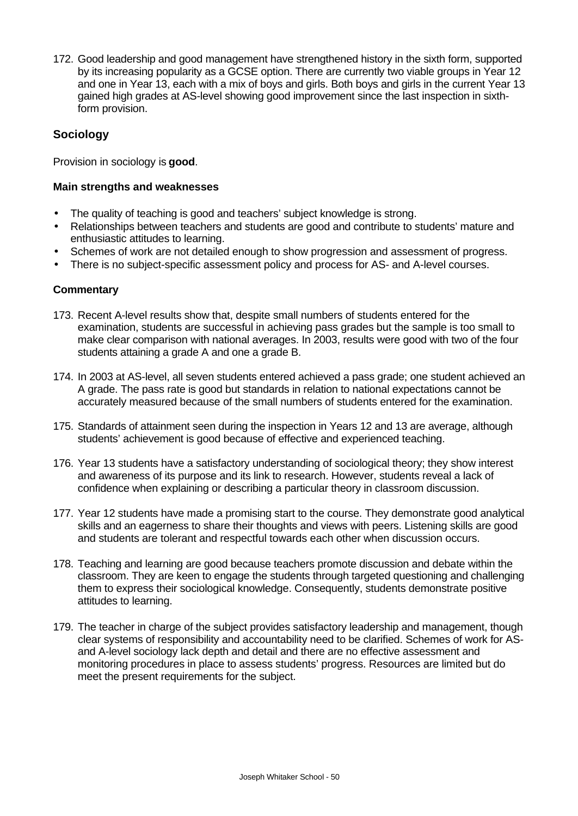172. Good leadership and good management have strengthened history in the sixth form, supported by its increasing popularity as a GCSE option. There are currently two viable groups in Year 12 and one in Year 13, each with a mix of boys and girls. Both boys and girls in the current Year 13 gained high grades at AS-level showing good improvement since the last inspection in sixthform provision.

### **Sociology**

Provision in sociology is **good**.

#### **Main strengths and weaknesses**

- The quality of teaching is good and teachers' subject knowledge is strong.
- Relationships between teachers and students are good and contribute to students' mature and enthusiastic attitudes to learning.
- Schemes of work are not detailed enough to show progression and assessment of progress.
- There is no subject-specific assessment policy and process for AS- and A-level courses.

- 173. Recent A-level results show that, despite small numbers of students entered for the examination, students are successful in achieving pass grades but the sample is too small to make clear comparison with national averages. In 2003, results were good with two of the four students attaining a grade A and one a grade B.
- 174. In 2003 at AS-level, all seven students entered achieved a pass grade; one student achieved an A grade. The pass rate is good but standards in relation to national expectations cannot be accurately measured because of the small numbers of students entered for the examination.
- 175. Standards of attainment seen during the inspection in Years 12 and 13 are average, although students' achievement is good because of effective and experienced teaching.
- 176. Year 13 students have a satisfactory understanding of sociological theory; they show interest and awareness of its purpose and its link to research. However, students reveal a lack of confidence when explaining or describing a particular theory in classroom discussion.
- 177. Year 12 students have made a promising start to the course. They demonstrate good analytical skills and an eagerness to share their thoughts and views with peers. Listening skills are good and students are tolerant and respectful towards each other when discussion occurs.
- 178. Teaching and learning are good because teachers promote discussion and debate within the classroom. They are keen to engage the students through targeted questioning and challenging them to express their sociological knowledge. Consequently, students demonstrate positive attitudes to learning.
- 179. The teacher in charge of the subject provides satisfactory leadership and management, though clear systems of responsibility and accountability need to be clarified. Schemes of work for ASand A-level sociology lack depth and detail and there are no effective assessment and monitoring procedures in place to assess students' progress. Resources are limited but do meet the present requirements for the subject.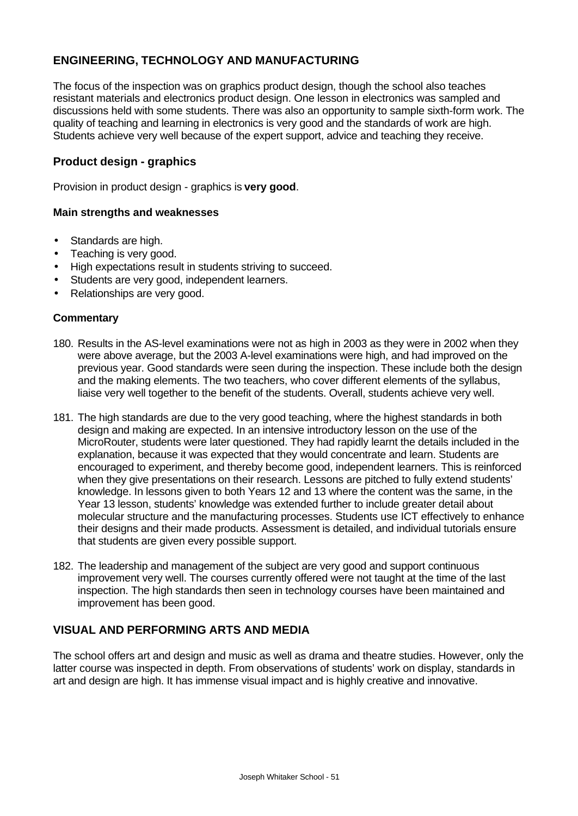## **ENGINEERING, TECHNOLOGY AND MANUFACTURING**

The focus of the inspection was on graphics product design, though the school also teaches resistant materials and electronics product design. One lesson in electronics was sampled and discussions held with some students. There was also an opportunity to sample sixth-form work. The quality of teaching and learning in electronics is very good and the standards of work are high. Students achieve very well because of the expert support, advice and teaching they receive.

#### **Product design - graphics**

Provision in product design - graphics is **very good**.

#### **Main strengths and weaknesses**

- Standards are high.
- Teaching is very good.
- High expectations result in students striving to succeed.
- Students are very good, independent learners.
- Relationships are very good.

#### **Commentary**

- 180. Results in the AS-level examinations were not as high in 2003 as they were in 2002 when they were above average, but the 2003 A-level examinations were high, and had improved on the previous year. Good standards were seen during the inspection. These include both the design and the making elements. The two teachers, who cover different elements of the syllabus, liaise very well together to the benefit of the students. Overall, students achieve very well.
- 181. The high standards are due to the very good teaching, where the highest standards in both design and making are expected. In an intensive introductory lesson on the use of the MicroRouter, students were later questioned. They had rapidly learnt the details included in the explanation, because it was expected that they would concentrate and learn. Students are encouraged to experiment, and thereby become good, independent learners. This is reinforced when they give presentations on their research. Lessons are pitched to fully extend students' knowledge. In lessons given to both Years 12 and 13 where the content was the same, in the Year 13 lesson, students' knowledge was extended further to include greater detail about molecular structure and the manufacturing processes. Students use ICT effectively to enhance their designs and their made products. Assessment is detailed, and individual tutorials ensure that students are given every possible support.
- 182. The leadership and management of the subject are very good and support continuous improvement very well. The courses currently offered were not taught at the time of the last inspection. The high standards then seen in technology courses have been maintained and improvement has been good.

#### **VISUAL AND PERFORMING ARTS AND MEDIA**

The school offers art and design and music as well as drama and theatre studies. However, only the latter course was inspected in depth. From observations of students' work on display, standards in art and design are high. It has immense visual impact and is highly creative and innovative.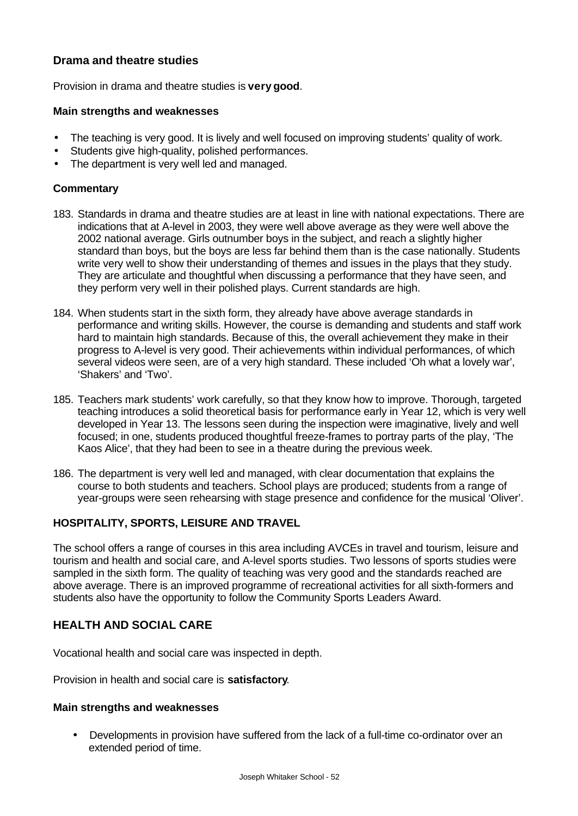### **Drama and theatre studies**

Provision in drama and theatre studies is **very good**.

#### **Main strengths and weaknesses**

- The teaching is very good. It is lively and well focused on improving students' quality of work.
- Students give high-quality, polished performances.
- The department is very well led and managed.

#### **Commentary**

- 183. Standards in drama and theatre studies are at least in line with national expectations. There are indications that at A-level in 2003, they were well above average as they were well above the 2002 national average. Girls outnumber boys in the subject, and reach a slightly higher standard than boys, but the boys are less far behind them than is the case nationally. Students write very well to show their understanding of themes and issues in the plays that they study. They are articulate and thoughtful when discussing a performance that they have seen, and they perform very well in their polished plays. Current standards are high.
- 184. When students start in the sixth form, they already have above average standards in performance and writing skills. However, the course is demanding and students and staff work hard to maintain high standards. Because of this, the overall achievement they make in their progress to A-level is very good. Their achievements within individual performances, of which several videos were seen, are of a very high standard. These included 'Oh what a lovely war', 'Shakers' and 'Two'.
- 185. Teachers mark students' work carefully, so that they know how to improve. Thorough, targeted teaching introduces a solid theoretical basis for performance early in Year 12, which is very well developed in Year 13. The lessons seen during the inspection were imaginative, lively and well focused; in one, students produced thoughtful freeze-frames to portray parts of the play, 'The Kaos Alice', that they had been to see in a theatre during the previous week.
- 186. The department is very well led and managed, with clear documentation that explains the course to both students and teachers. School plays are produced; students from a range of year-groups were seen rehearsing with stage presence and confidence for the musical 'Oliver'.

### **HOSPITALITY, SPORTS, LEISURE AND TRAVEL**

The school offers a range of courses in this area including AVCEs in travel and tourism, leisure and tourism and health and social care, and A-level sports studies. Two lessons of sports studies were sampled in the sixth form. The quality of teaching was very good and the standards reached are above average. There is an improved programme of recreational activities for all sixth-formers and students also have the opportunity to follow the Community Sports Leaders Award.

### **HEALTH AND SOCIAL CARE**

Vocational health and social care was inspected in depth.

Provision in health and social care is **satisfactory**.

#### **Main strengths and weaknesses**

• Developments in provision have suffered from the lack of a full-time co-ordinator over an extended period of time.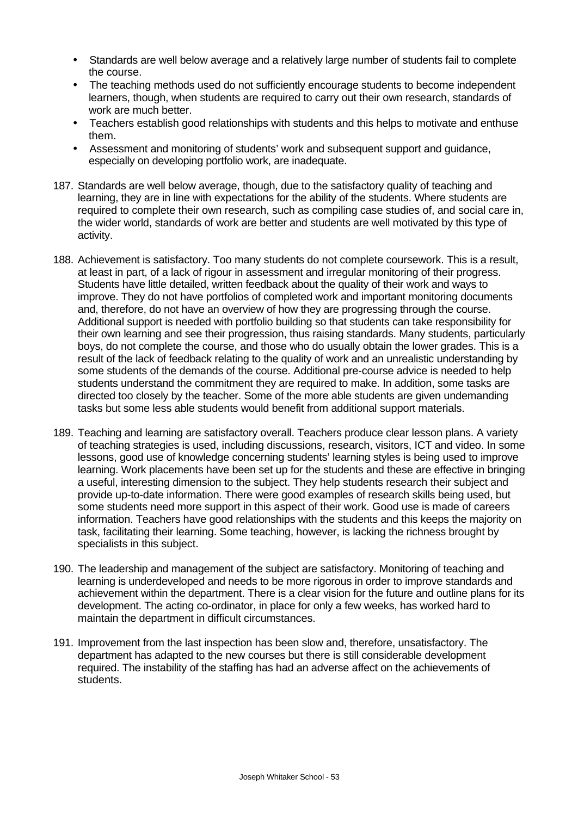- Standards are well below average and a relatively large number of students fail to complete the course.
- The teaching methods used do not sufficiently encourage students to become independent learners, though, when students are required to carry out their own research, standards of work are much better.
- Teachers establish good relationships with students and this helps to motivate and enthuse them.
- Assessment and monitoring of students' work and subsequent support and guidance, especially on developing portfolio work, are inadequate.
- 187. Standards are well below average, though, due to the satisfactory quality of teaching and learning, they are in line with expectations for the ability of the students. Where students are required to complete their own research, such as compiling case studies of, and social care in, the wider world, standards of work are better and students are well motivated by this type of activity.
- 188. Achievement is satisfactory. Too many students do not complete coursework. This is a result, at least in part, of a lack of rigour in assessment and irregular monitoring of their progress. Students have little detailed, written feedback about the quality of their work and ways to improve. They do not have portfolios of completed work and important monitoring documents and, therefore, do not have an overview of how they are progressing through the course. Additional support is needed with portfolio building so that students can take responsibility for their own learning and see their progression, thus raising standards. Many students, particularly boys, do not complete the course, and those who do usually obtain the lower grades. This is a result of the lack of feedback relating to the quality of work and an unrealistic understanding by some students of the demands of the course. Additional pre-course advice is needed to help students understand the commitment they are required to make. In addition, some tasks are directed too closely by the teacher. Some of the more able students are given undemanding tasks but some less able students would benefit from additional support materials.
- 189. Teaching and learning are satisfactory overall. Teachers produce clear lesson plans. A variety of teaching strategies is used, including discussions, research, visitors, ICT and video. In some lessons, good use of knowledge concerning students' learning styles is being used to improve learning. Work placements have been set up for the students and these are effective in bringing a useful, interesting dimension to the subject. They help students research their subject and provide up-to-date information. There were good examples of research skills being used, but some students need more support in this aspect of their work. Good use is made of careers information. Teachers have good relationships with the students and this keeps the majority on task, facilitating their learning. Some teaching, however, is lacking the richness brought by specialists in this subject.
- 190. The leadership and management of the subject are satisfactory. Monitoring of teaching and learning is underdeveloped and needs to be more rigorous in order to improve standards and achievement within the department. There is a clear vision for the future and outline plans for its development. The acting co-ordinator, in place for only a few weeks, has worked hard to maintain the department in difficult circumstances.
- 191. Improvement from the last inspection has been slow and, therefore, unsatisfactory. The department has adapted to the new courses but there is still considerable development required. The instability of the staffing has had an adverse affect on the achievements of students.